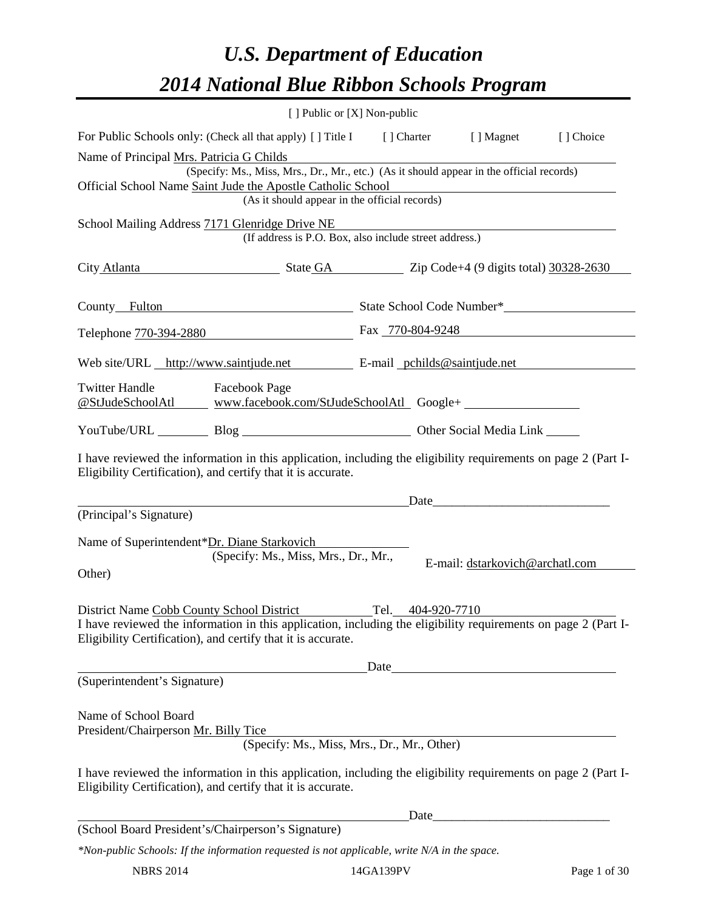# *U.S. Department of Education 2014 National Blue Ribbon Schools Program*

|                                                                                                                                                                                  |                                                                                          | [ ] Public or [X] Non-public |                                                                                                                        |              |
|----------------------------------------------------------------------------------------------------------------------------------------------------------------------------------|------------------------------------------------------------------------------------------|------------------------------|------------------------------------------------------------------------------------------------------------------------|--------------|
| For Public Schools only: (Check all that apply) [] Title I [] Charter [] Magnet                                                                                                  |                                                                                          |                              |                                                                                                                        | [] Choice    |
| Name of Principal Mrs. Patricia G Childs                                                                                                                                         |                                                                                          |                              |                                                                                                                        |              |
|                                                                                                                                                                                  | (Specify: Ms., Miss, Mrs., Dr., Mr., etc.) (As it should appear in the official records) |                              |                                                                                                                        |              |
| Official School Name Saint Jude the Apostle Catholic School                                                                                                                      | (As it should appear in the official records)                                            |                              | <u> 1989 - Johann Stoff, deutscher Stoffen und der Stoffen und der Stoffen und der Stoffen und der Stoffen und der</u> |              |
| School Mailing Address 7171 Glenridge Drive NE                                                                                                                                   |                                                                                          |                              |                                                                                                                        |              |
|                                                                                                                                                                                  | (If address is P.O. Box, also include street address.)                                   |                              |                                                                                                                        |              |
| City Atlanta State GA Zip Code+4 (9 digits total) 30328-2630                                                                                                                     |                                                                                          |                              |                                                                                                                        |              |
| County_Fulton entertainment and State School Code Number*                                                                                                                        |                                                                                          |                              |                                                                                                                        |              |
| Telephone 770-394-2880 Fax 770-804-9248                                                                                                                                          |                                                                                          |                              |                                                                                                                        |              |
| Web site/URL http://www.saintjude.net E-mail pchilds@saintjude.net                                                                                                               |                                                                                          |                              |                                                                                                                        |              |
| <b>Twitter Handle</b><br><b>Facebook Page</b><br><u> @StJudeSchoolAtl www.facebook.com/StJudeSchoolAtl</u> Google+                                                               |                                                                                          |                              |                                                                                                                        |              |
| YouTube/URL Blog Blog Discount Other Social Media Link                                                                                                                           |                                                                                          |                              |                                                                                                                        |              |
| I have reviewed the information in this application, including the eligibility requirements on page 2 (Part I-<br>Eligibility Certification), and certify that it is accurate.   |                                                                                          |                              |                                                                                                                        |              |
|                                                                                                                                                                                  |                                                                                          |                              | Date                                                                                                                   |              |
| (Principal's Signature)                                                                                                                                                          |                                                                                          |                              |                                                                                                                        |              |
| Name of Superintendent*Dr. Diane Starkovich                                                                                                                                      |                                                                                          |                              |                                                                                                                        |              |
|                                                                                                                                                                                  | (Specify: Ms., Miss, Mrs., Dr., Mr.,                                                     |                              | E-mail: dstarkovich@archatl.com                                                                                        |              |
| Other)                                                                                                                                                                           |                                                                                          |                              |                                                                                                                        |              |
|                                                                                                                                                                                  |                                                                                          |                              |                                                                                                                        |              |
| Tel. 404-920-7710<br>District Name Cobb County School District<br>I have reviewed the information in this application, including the eligibility requirements on page 2 (Part I- |                                                                                          |                              |                                                                                                                        |              |
| Eligibility Certification), and certify that it is accurate.                                                                                                                     |                                                                                          |                              |                                                                                                                        |              |
|                                                                                                                                                                                  |                                                                                          |                              | Date                                                                                                                   |              |
| (Superintendent's Signature)                                                                                                                                                     |                                                                                          |                              |                                                                                                                        |              |
| Name of School Board                                                                                                                                                             |                                                                                          |                              |                                                                                                                        |              |
| President/Chairperson Mr. Billy Tice                                                                                                                                             |                                                                                          |                              |                                                                                                                        |              |
|                                                                                                                                                                                  | (Specify: Ms., Miss, Mrs., Dr., Mr., Other)                                              |                              |                                                                                                                        |              |
| I have reviewed the information in this application, including the eligibility requirements on page 2 (Part I-<br>Eligibility Certification), and certify that it is accurate.   |                                                                                          |                              |                                                                                                                        |              |
|                                                                                                                                                                                  |                                                                                          |                              |                                                                                                                        |              |
| (School Board President's/Chairperson's Signature)                                                                                                                               |                                                                                          |                              |                                                                                                                        |              |
| *Non-public Schools: If the information requested is not applicable, write N/A in the space.                                                                                     |                                                                                          |                              |                                                                                                                        |              |
| <b>NBRS 2014</b><br>14GA139PV                                                                                                                                                    |                                                                                          |                              |                                                                                                                        | Page 1 of 30 |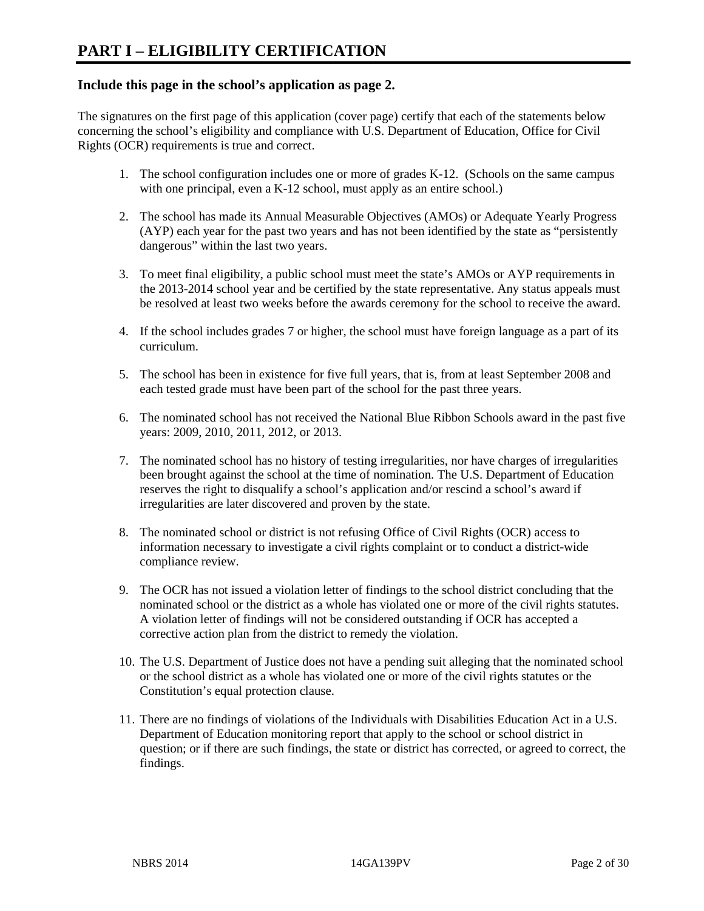#### **Include this page in the school's application as page 2.**

The signatures on the first page of this application (cover page) certify that each of the statements below concerning the school's eligibility and compliance with U.S. Department of Education, Office for Civil Rights (OCR) requirements is true and correct.

- 1. The school configuration includes one or more of grades K-12. (Schools on the same campus with one principal, even a K-12 school, must apply as an entire school.)
- 2. The school has made its Annual Measurable Objectives (AMOs) or Adequate Yearly Progress (AYP) each year for the past two years and has not been identified by the state as "persistently dangerous" within the last two years.
- 3. To meet final eligibility, a public school must meet the state's AMOs or AYP requirements in the 2013-2014 school year and be certified by the state representative. Any status appeals must be resolved at least two weeks before the awards ceremony for the school to receive the award.
- 4. If the school includes grades 7 or higher, the school must have foreign language as a part of its curriculum.
- 5. The school has been in existence for five full years, that is, from at least September 2008 and each tested grade must have been part of the school for the past three years.
- 6. The nominated school has not received the National Blue Ribbon Schools award in the past five years: 2009, 2010, 2011, 2012, or 2013.
- 7. The nominated school has no history of testing irregularities, nor have charges of irregularities been brought against the school at the time of nomination. The U.S. Department of Education reserves the right to disqualify a school's application and/or rescind a school's award if irregularities are later discovered and proven by the state.
- 8. The nominated school or district is not refusing Office of Civil Rights (OCR) access to information necessary to investigate a civil rights complaint or to conduct a district-wide compliance review.
- 9. The OCR has not issued a violation letter of findings to the school district concluding that the nominated school or the district as a whole has violated one or more of the civil rights statutes. A violation letter of findings will not be considered outstanding if OCR has accepted a corrective action plan from the district to remedy the violation.
- 10. The U.S. Department of Justice does not have a pending suit alleging that the nominated school or the school district as a whole has violated one or more of the civil rights statutes or the Constitution's equal protection clause.
- 11. There are no findings of violations of the Individuals with Disabilities Education Act in a U.S. Department of Education monitoring report that apply to the school or school district in question; or if there are such findings, the state or district has corrected, or agreed to correct, the findings.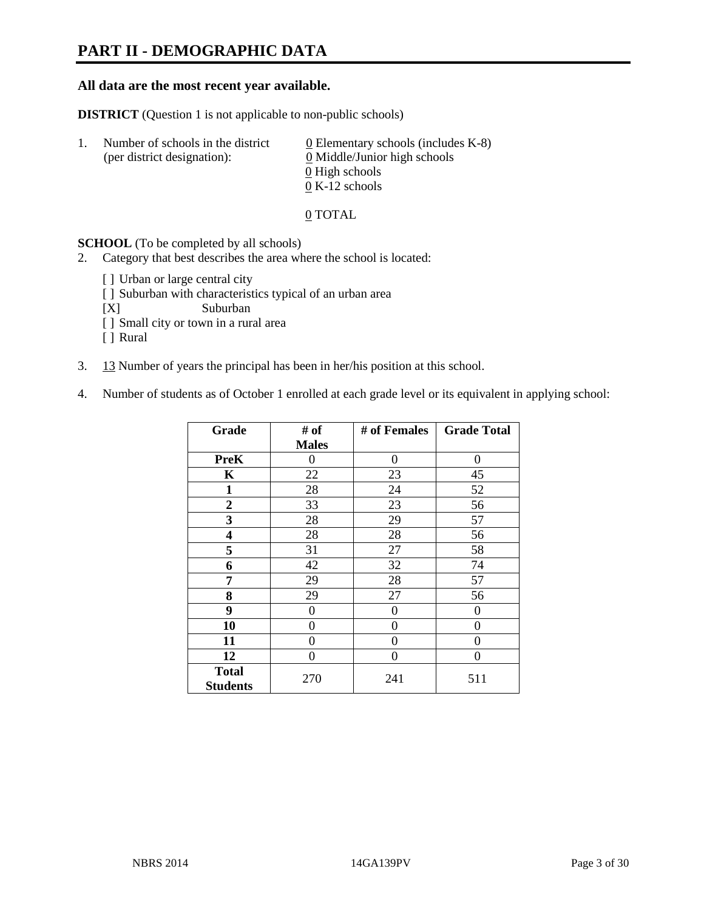## **PART II - DEMOGRAPHIC DATA**

#### **All data are the most recent year available.**

**DISTRICT** (Question 1 is not applicable to non-public schools)

| -1. | Number of schools in the district<br>(per district designation): | 0 Elementary schools (includes $K-8$ )<br>0 Middle/Junior high schools |
|-----|------------------------------------------------------------------|------------------------------------------------------------------------|
|     |                                                                  | 0 High schools                                                         |
|     |                                                                  | $0 K-12$ schools                                                       |

#### 0 TOTAL

**SCHOOL** (To be completed by all schools)

2. Category that best describes the area where the school is located:

- [] Urban or large central city
- [ ] Suburban with characteristics typical of an urban area
- [X] Suburban
- [ ] Small city or town in a rural area
- [ ] Rural
- 3. 13 Number of years the principal has been in her/his position at this school.
- 4. Number of students as of October 1 enrolled at each grade level or its equivalent in applying school:

| Grade                           | # of         | # of Females | <b>Grade Total</b> |
|---------------------------------|--------------|--------------|--------------------|
|                                 | <b>Males</b> |              |                    |
| <b>PreK</b>                     | 0            | $\theta$     | $\theta$           |
| K                               | 22           | 23           | 45                 |
| $\mathbf{1}$                    | 28           | 24           | 52                 |
| $\overline{2}$                  | 33           | 23           | 56                 |
| 3                               | 28           | 29           | 57                 |
| 4                               | 28           | 28           | 56                 |
| 5                               | 31           | 27           | 58                 |
| 6                               | 42           | 32           | 74                 |
| 7                               | 29           | 28           | 57                 |
| 8                               | 29           | 27           | 56                 |
| 9                               | 0            | 0            | 0                  |
| 10                              | 0            | $\theta$     | 0                  |
| 11                              | 0            | 0            | 0                  |
| 12                              | 0            | 0            | 0                  |
| <b>Total</b><br><b>Students</b> | 270          | 241          | 511                |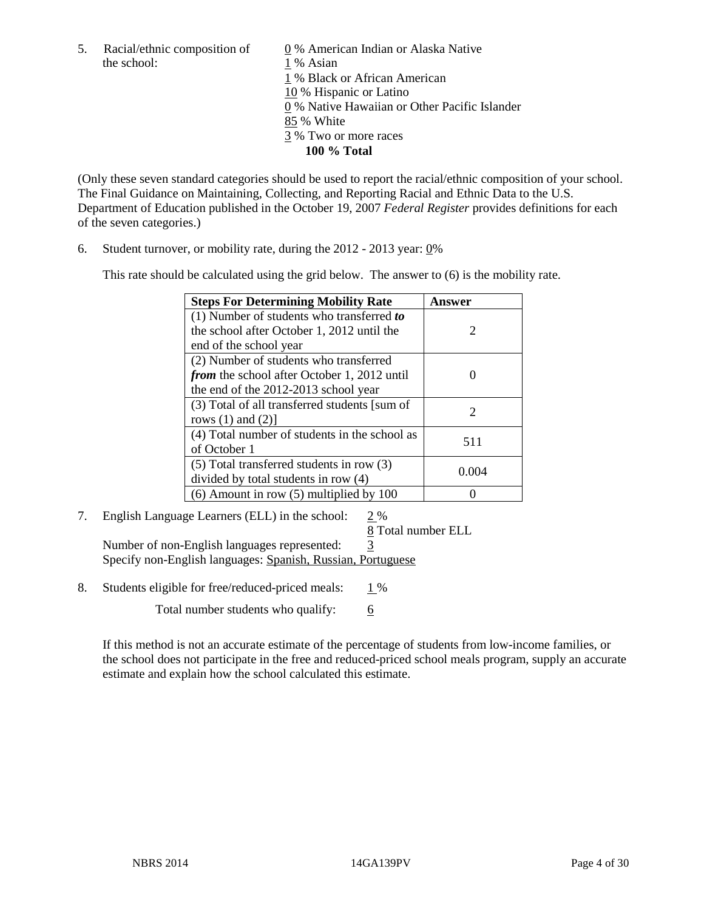the school: 1 % Asian

5. Racial/ethnic composition of  $\qquad \qquad \underline{0}$  % American Indian or Alaska Native 1 % Black or African American 10 % Hispanic or Latino 0 % Native Hawaiian or Other Pacific Islander 85 % White 3 % Two or more races **100 % Total** 

(Only these seven standard categories should be used to report the racial/ethnic composition of your school. The Final Guidance on Maintaining, Collecting, and Reporting Racial and Ethnic Data to the U.S. Department of Education published in the October 19, 2007 *Federal Register* provides definitions for each of the seven categories.)

6. Student turnover, or mobility rate, during the 2012 - 2013 year: 0%

This rate should be calculated using the grid below. The answer to (6) is the mobility rate.

| <b>Steps For Determining Mobility Rate</b>         | Answer |  |
|----------------------------------------------------|--------|--|
| (1) Number of students who transferred to          |        |  |
| the school after October 1, 2012 until the         | 2      |  |
| end of the school year                             |        |  |
| (2) Number of students who transferred             |        |  |
| <i>from</i> the school after October 1, 2012 until |        |  |
| the end of the 2012-2013 school year               |        |  |
| (3) Total of all transferred students [sum of      | 2      |  |
| rows $(1)$ and $(2)$ ]                             |        |  |
| (4) Total number of students in the school as      | 511    |  |
| of October 1                                       |        |  |
| $(5)$ Total transferred students in row $(3)$      | 0.004  |  |
| divided by total students in row (4)               |        |  |
| $(6)$ Amount in row $(5)$ multiplied by 100        |        |  |

## 7. English Language Learners (ELL) in the school: 2 %

8 Total number ELL

Number of non-English languages represented: 3 Specify non-English languages: Spanish, Russian, Portuguese

8. Students eligible for free/reduced-priced meals:  $1\%$ 

Total number students who qualify:  $\frac{6}{6}$ 

If this method is not an accurate estimate of the percentage of students from low-income families, or the school does not participate in the free and reduced-priced school meals program, supply an accurate estimate and explain how the school calculated this estimate.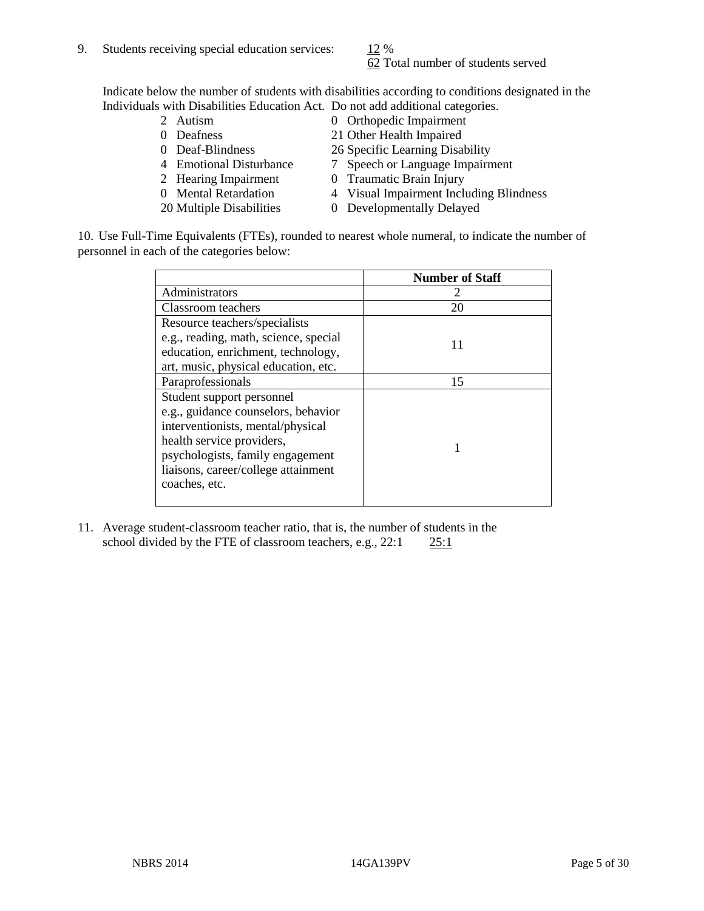62 Total number of students served

Indicate below the number of students with disabilities according to conditions designated in the Individuals with Disabilities Education Act. Do not add additional categories.

- 
- 
- 
- 
- 
- 
- 
- 2 Autism 0 Orthopedic Impairment<br>
0 Deafness 21 Other Health Impaired
	- 21 Other Health Impaired
- 0 Deaf-Blindness 26 Specific Learning Disability
- 4 Emotional Disturbance 7 Speech or Language Impairment
- 2 Hearing Impairment 0 Traumatic Brain Injury
- 0 Mental Retardation 4 Visual Impairment Including Blindness
- 20 Multiple Disabilities 0 Developmentally Delayed

10. Use Full-Time Equivalents (FTEs), rounded to nearest whole numeral, to indicate the number of personnel in each of the categories below:

|                                       | <b>Number of Staff</b> |
|---------------------------------------|------------------------|
| Administrators                        |                        |
| <b>Classroom</b> teachers             | 20                     |
| Resource teachers/specialists         |                        |
| e.g., reading, math, science, special | 11                     |
| education, enrichment, technology,    |                        |
| art, music, physical education, etc.  |                        |
| Paraprofessionals                     | 15                     |
| Student support personnel             |                        |
| e.g., guidance counselors, behavior   |                        |
| interventionists, mental/physical     |                        |
| health service providers,             |                        |
| psychologists, family engagement      |                        |
| liaisons, career/college attainment   |                        |
| coaches, etc.                         |                        |
|                                       |                        |

11. Average student-classroom teacher ratio, that is, the number of students in the school divided by the FTE of classroom teachers, e.g.,  $22:1$   $25:1$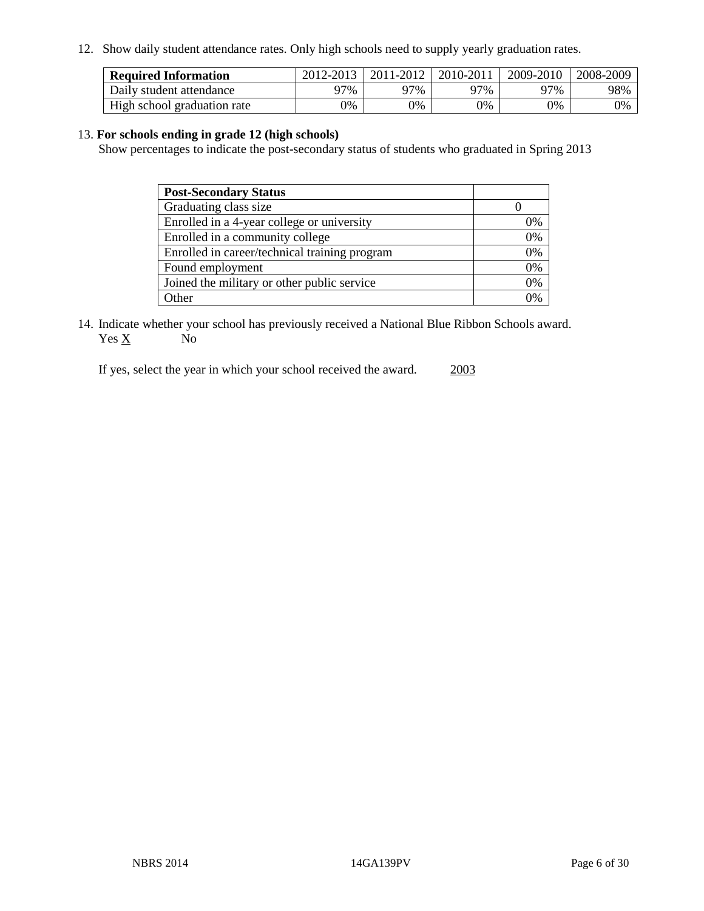12. Show daily student attendance rates. Only high schools need to supply yearly graduation rates.

| <b>Required Information</b> | 2012-2013 | 2011-2012 | 2010-2011 | 2009-2010 | 2008-2009 |
|-----------------------------|-----------|-----------|-----------|-----------|-----------|
| Daily student attendance    | 77%       | 97%       | 97%       | 97%       | 98%       |
| High school graduation rate | 0%        | 9%        | 0%        | 0%        | 0%        |

#### 13. **For schools ending in grade 12 (high schools)**

Show percentages to indicate the post-secondary status of students who graduated in Spring 2013

| <b>Post-Secondary Status</b>                  |    |
|-----------------------------------------------|----|
| Graduating class size                         |    |
| Enrolled in a 4-year college or university    | 0% |
| Enrolled in a community college               | 0% |
| Enrolled in career/technical training program | 0% |
| Found employment                              | 0% |
| Joined the military or other public service   | 0% |
| . Other                                       | 0/ |

14. Indicate whether your school has previously received a National Blue Ribbon Schools award.  $Yes \underline{X}$  No

If yes, select the year in which your school received the award. 2003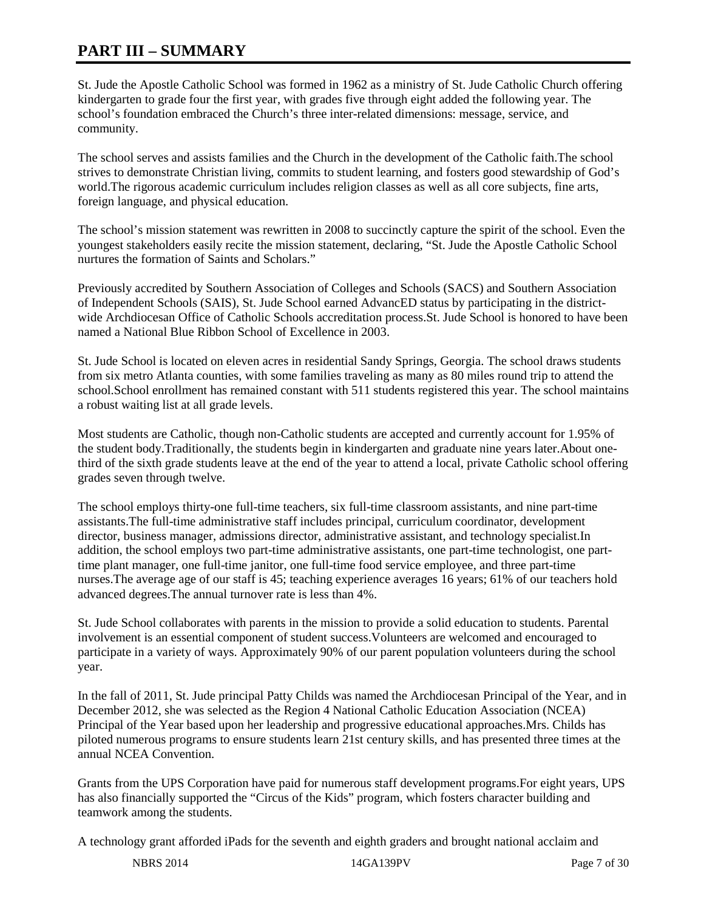## **PART III – SUMMARY**

St. Jude the Apostle Catholic School was formed in 1962 as a ministry of St. Jude Catholic Church offering kindergarten to grade four the first year, with grades five through eight added the following year. The school's foundation embraced the Church's three inter-related dimensions: message, service, and community.

The school serves and assists families and the Church in the development of the Catholic faith.The school strives to demonstrate Christian living, commits to student learning, and fosters good stewardship of God's world.The rigorous academic curriculum includes religion classes as well as all core subjects, fine arts, foreign language, and physical education.

The school's mission statement was rewritten in 2008 to succinctly capture the spirit of the school. Even the youngest stakeholders easily recite the mission statement, declaring, "St. Jude the Apostle Catholic School nurtures the formation of Saints and Scholars."

Previously accredited by Southern Association of Colleges and Schools (SACS) and Southern Association of Independent Schools (SAIS), St. Jude School earned AdvancED status by participating in the districtwide Archdiocesan Office of Catholic Schools accreditation process.St. Jude School is honored to have been named a National Blue Ribbon School of Excellence in 2003.

St. Jude School is located on eleven acres in residential Sandy Springs, Georgia. The school draws students from six metro Atlanta counties, with some families traveling as many as 80 miles round trip to attend the school.School enrollment has remained constant with 511 students registered this year. The school maintains a robust waiting list at all grade levels.

Most students are Catholic, though non-Catholic students are accepted and currently account for 1.95% of the student body.Traditionally, the students begin in kindergarten and graduate nine years later.About onethird of the sixth grade students leave at the end of the year to attend a local, private Catholic school offering grades seven through twelve.

The school employs thirty-one full-time teachers, six full-time classroom assistants, and nine part-time assistants.The full-time administrative staff includes principal, curriculum coordinator, development director, business manager, admissions director, administrative assistant, and technology specialist.In addition, the school employs two part-time administrative assistants, one part-time technologist, one parttime plant manager, one full-time janitor, one full-time food service employee, and three part-time nurses.The average age of our staff is 45; teaching experience averages 16 years; 61% of our teachers hold advanced degrees.The annual turnover rate is less than 4%.

St. Jude School collaborates with parents in the mission to provide a solid education to students. Parental involvement is an essential component of student success.Volunteers are welcomed and encouraged to participate in a variety of ways. Approximately 90% of our parent population volunteers during the school year.

In the fall of 2011, St. Jude principal Patty Childs was named the Archdiocesan Principal of the Year, and in December 2012, she was selected as the Region 4 National Catholic Education Association (NCEA) Principal of the Year based upon her leadership and progressive educational approaches.Mrs. Childs has piloted numerous programs to ensure students learn 21st century skills, and has presented three times at the annual NCEA Convention.

Grants from the UPS Corporation have paid for numerous staff development programs.For eight years, UPS has also financially supported the "Circus of the Kids" program, which fosters character building and teamwork among the students.

A technology grant afforded iPads for the seventh and eighth graders and brought national acclaim and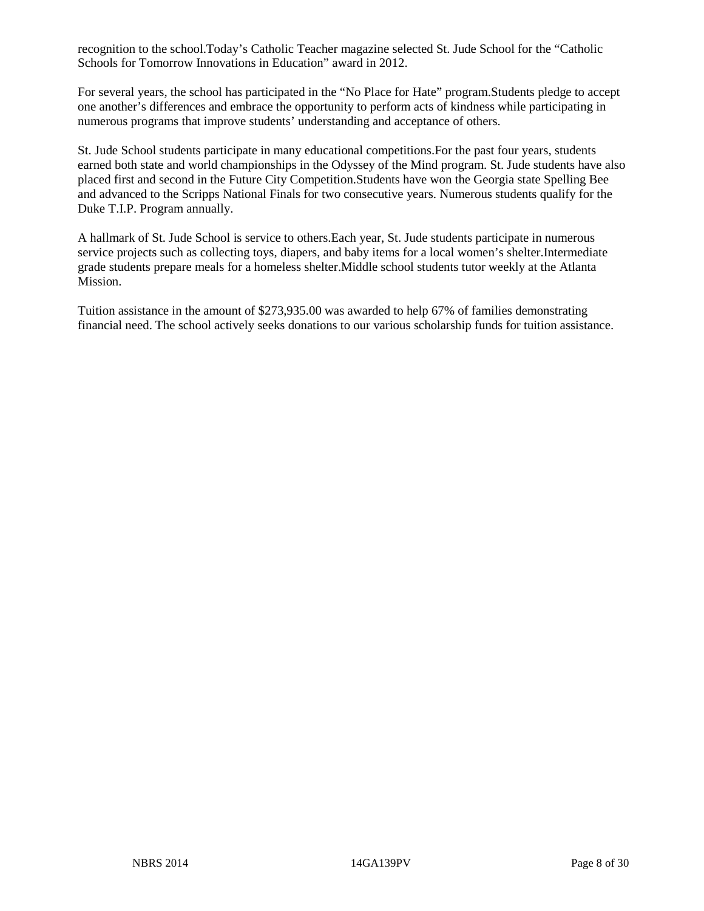recognition to the school.Today's Catholic Teacher magazine selected St. Jude School for the "Catholic Schools for Tomorrow Innovations in Education" award in 2012.

For several years, the school has participated in the "No Place for Hate" program.Students pledge to accept one another's differences and embrace the opportunity to perform acts of kindness while participating in numerous programs that improve students' understanding and acceptance of others.

St. Jude School students participate in many educational competitions.For the past four years, students earned both state and world championships in the Odyssey of the Mind program. St. Jude students have also placed first and second in the Future City Competition.Students have won the Georgia state Spelling Bee and advanced to the Scripps National Finals for two consecutive years. Numerous students qualify for the Duke T.I.P. Program annually.

A hallmark of St. Jude School is service to others.Each year, St. Jude students participate in numerous service projects such as collecting toys, diapers, and baby items for a local women's shelter.Intermediate grade students prepare meals for a homeless shelter.Middle school students tutor weekly at the Atlanta Mission.

Tuition assistance in the amount of \$273,935.00 was awarded to help 67% of families demonstrating financial need. The school actively seeks donations to our various scholarship funds for tuition assistance.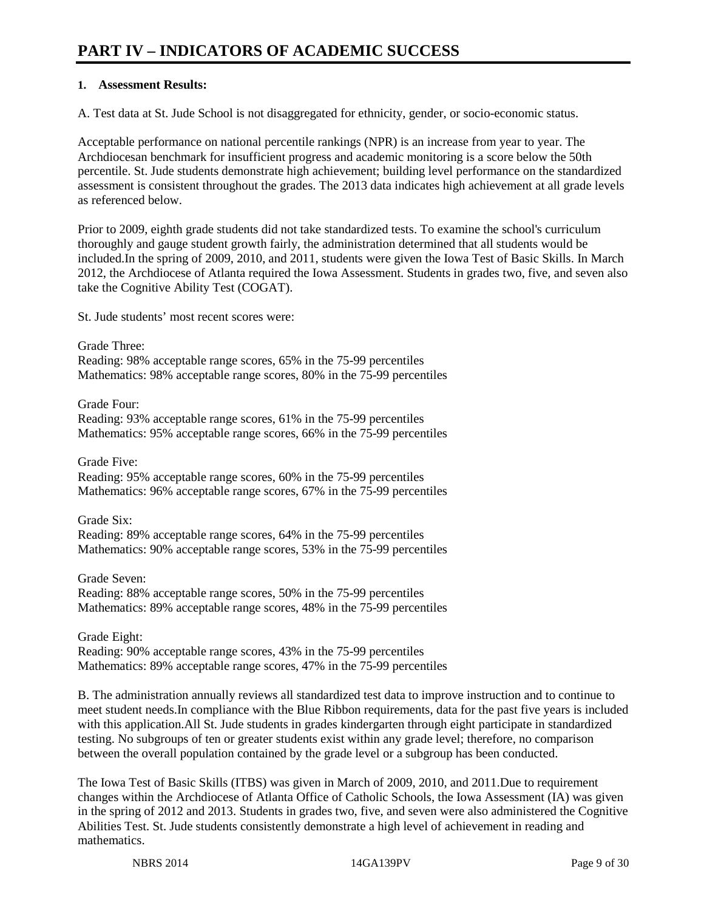## **PART IV – INDICATORS OF ACADEMIC SUCCESS**

#### **1. Assessment Results:**

A. Test data at St. Jude School is not disaggregated for ethnicity, gender, or socio-economic status.

Acceptable performance on national percentile rankings (NPR) is an increase from year to year. The Archdiocesan benchmark for insufficient progress and academic monitoring is a score below the 50th percentile. St. Jude students demonstrate high achievement; building level performance on the standardized assessment is consistent throughout the grades. The 2013 data indicates high achievement at all grade levels as referenced below.

Prior to 2009, eighth grade students did not take standardized tests. To examine the school's curriculum thoroughly and gauge student growth fairly, the administration determined that all students would be included.In the spring of 2009, 2010, and 2011, students were given the Iowa Test of Basic Skills. In March 2012, the Archdiocese of Atlanta required the Iowa Assessment. Students in grades two, five, and seven also take the Cognitive Ability Test (COGAT).

St. Jude students' most recent scores were:

Grade Three: Reading: 98% acceptable range scores, 65% in the 75-99 percentiles Mathematics: 98% acceptable range scores, 80% in the 75-99 percentiles

Grade Four:

Reading: 93% acceptable range scores, 61% in the 75-99 percentiles Mathematics: 95% acceptable range scores, 66% in the 75-99 percentiles

Grade Five:

Reading: 95% acceptable range scores, 60% in the 75-99 percentiles Mathematics: 96% acceptable range scores, 67% in the 75-99 percentiles

Grade Six: Reading: 89% acceptable range scores, 64% in the 75-99 percentiles Mathematics: 90% acceptable range scores, 53% in the 75-99 percentiles

Grade Seven: Reading: 88% acceptable range scores, 50% in the 75-99 percentiles Mathematics: 89% acceptable range scores, 48% in the 75-99 percentiles

Grade Eight: Reading: 90% acceptable range scores, 43% in the 75-99 percentiles Mathematics: 89% acceptable range scores, 47% in the 75-99 percentiles

B. The administration annually reviews all standardized test data to improve instruction and to continue to meet student needs.In compliance with the Blue Ribbon requirements, data for the past five years is included with this application.All St. Jude students in grades kindergarten through eight participate in standardized testing. No subgroups of ten or greater students exist within any grade level; therefore, no comparison between the overall population contained by the grade level or a subgroup has been conducted.

The Iowa Test of Basic Skills (ITBS) was given in March of 2009, 2010, and 2011.Due to requirement changes within the Archdiocese of Atlanta Office of Catholic Schools, the Iowa Assessment (IA) was given in the spring of 2012 and 2013. Students in grades two, five, and seven were also administered the Cognitive Abilities Test. St. Jude students consistently demonstrate a high level of achievement in reading and mathematics.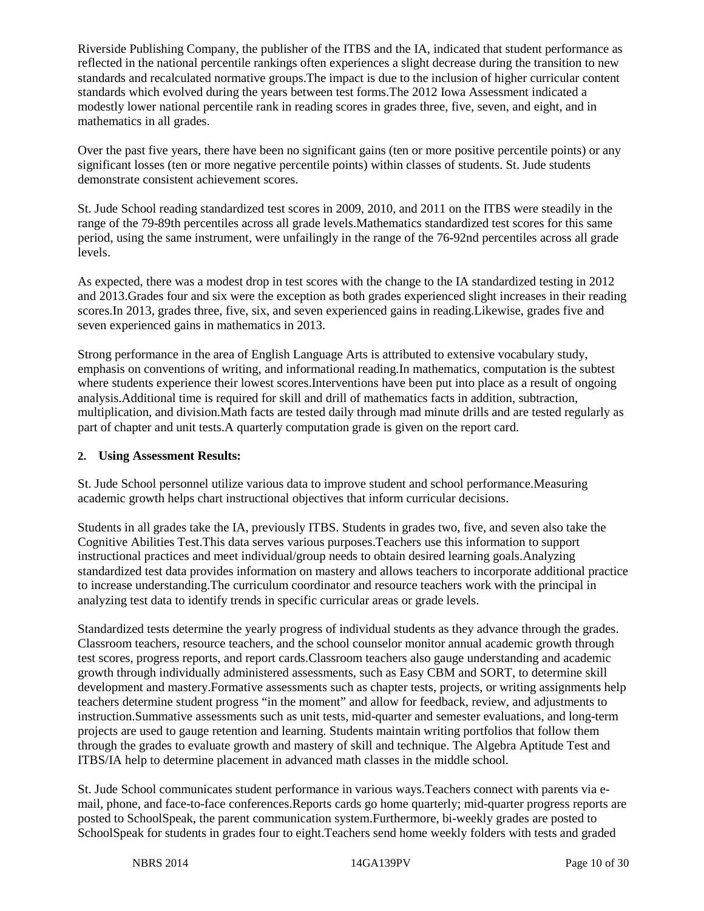Riverside Publishing Company, the publisher of the ITBS and the IA, indicated that student performance as reflected in the national percentile rankings often experiences a slight decrease during the transition to new standards and recalculated normative groups.The impact is due to the inclusion of higher curricular content standards which evolved during the years between test forms.The 2012 Iowa Assessment indicated a modestly lower national percentile rank in reading scores in grades three, five, seven, and eight, and in mathematics in all grades.

Over the past five years, there have been no significant gains (ten or more positive percentile points) or any significant losses (ten or more negative percentile points) within classes of students. St. Jude students demonstrate consistent achievement scores.

St. Jude School reading standardized test scores in 2009, 2010, and 2011 on the ITBS were steadily in the range of the 79-89th percentiles across all grade levels.Mathematics standardized test scores for this same period, using the same instrument, were unfailingly in the range of the 76-92nd percentiles across all grade levels.

As expected, there was a modest drop in test scores with the change to the IA standardized testing in 2012 and 2013.Grades four and six were the exception as both grades experienced slight increases in their reading scores.In 2013, grades three, five, six, and seven experienced gains in reading.Likewise, grades five and seven experienced gains in mathematics in 2013.

Strong performance in the area of English Language Arts is attributed to extensive vocabulary study, emphasis on conventions of writing, and informational reading.In mathematics, computation is the subtest where students experience their lowest scores. Interventions have been put into place as a result of ongoing analysis.Additional time is required for skill and drill of mathematics facts in addition, subtraction, multiplication, and division.Math facts are tested daily through mad minute drills and are tested regularly as part of chapter and unit tests.A quarterly computation grade is given on the report card.

#### **2. Using Assessment Results:**

St. Jude School personnel utilize various data to improve student and school performance.Measuring academic growth helps chart instructional objectives that inform curricular decisions.

Students in all grades take the IA, previously ITBS. Students in grades two, five, and seven also take the Cognitive Abilities Test.This data serves various purposes.Teachers use this information to support instructional practices and meet individual/group needs to obtain desired learning goals.Analyzing standardized test data provides information on mastery and allows teachers to incorporate additional practice to increase understanding.The curriculum coordinator and resource teachers work with the principal in analyzing test data to identify trends in specific curricular areas or grade levels.

Standardized tests determine the yearly progress of individual students as they advance through the grades. Classroom teachers, resource teachers, and the school counselor monitor annual academic growth through test scores, progress reports, and report cards.Classroom teachers also gauge understanding and academic growth through individually administered assessments, such as Easy CBM and SORT, to determine skill development and mastery.Formative assessments such as chapter tests, projects, or writing assignments help teachers determine student progress "in the moment" and allow for feedback, review, and adjustments to instruction.Summative assessments such as unit tests, mid-quarter and semester evaluations, and long-term projects are used to gauge retention and learning. Students maintain writing portfolios that follow them through the grades to evaluate growth and mastery of skill and technique. The Algebra Aptitude Test and ITBS/IA help to determine placement in advanced math classes in the middle school.

St. Jude School communicates student performance in various ways.Teachers connect with parents via email, phone, and face-to-face conferences.Reports cards go home quarterly; mid-quarter progress reports are posted to SchoolSpeak, the parent communication system.Furthermore, bi-weekly grades are posted to SchoolSpeak for students in grades four to eight.Teachers send home weekly folders with tests and graded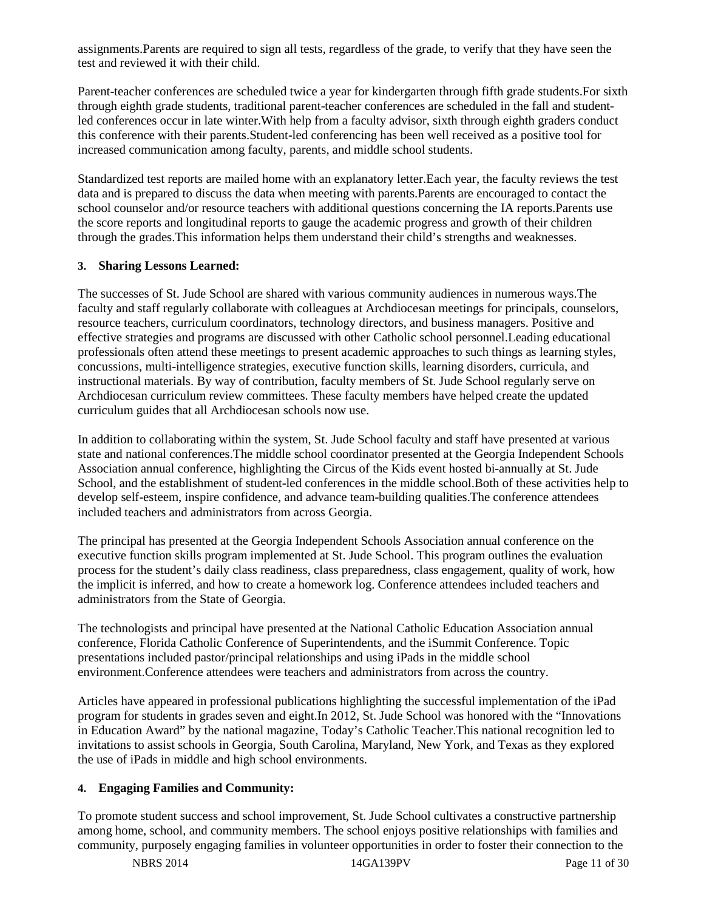assignments.Parents are required to sign all tests, regardless of the grade, to verify that they have seen the test and reviewed it with their child.

Parent-teacher conferences are scheduled twice a year for kindergarten through fifth grade students.For sixth through eighth grade students, traditional parent-teacher conferences are scheduled in the fall and studentled conferences occur in late winter.With help from a faculty advisor, sixth through eighth graders conduct this conference with their parents.Student-led conferencing has been well received as a positive tool for increased communication among faculty, parents, and middle school students.

Standardized test reports are mailed home with an explanatory letter.Each year, the faculty reviews the test data and is prepared to discuss the data when meeting with parents.Parents are encouraged to contact the school counselor and/or resource teachers with additional questions concerning the IA reports. Parents use the score reports and longitudinal reports to gauge the academic progress and growth of their children through the grades.This information helps them understand their child's strengths and weaknesses.

#### **3. Sharing Lessons Learned:**

The successes of St. Jude School are shared with various community audiences in numerous ways.The faculty and staff regularly collaborate with colleagues at Archdiocesan meetings for principals, counselors, resource teachers, curriculum coordinators, technology directors, and business managers. Positive and effective strategies and programs are discussed with other Catholic school personnel.Leading educational professionals often attend these meetings to present academic approaches to such things as learning styles, concussions, multi-intelligence strategies, executive function skills, learning disorders, curricula, and instructional materials. By way of contribution, faculty members of St. Jude School regularly serve on Archdiocesan curriculum review committees. These faculty members have helped create the updated curriculum guides that all Archdiocesan schools now use.

In addition to collaborating within the system, St. Jude School faculty and staff have presented at various state and national conferences.The middle school coordinator presented at the Georgia Independent Schools Association annual conference, highlighting the Circus of the Kids event hosted bi-annually at St. Jude School, and the establishment of student-led conferences in the middle school.Both of these activities help to develop self-esteem, inspire confidence, and advance team-building qualities.The conference attendees included teachers and administrators from across Georgia.

The principal has presented at the Georgia Independent Schools Association annual conference on the executive function skills program implemented at St. Jude School. This program outlines the evaluation process for the student's daily class readiness, class preparedness, class engagement, quality of work, how the implicit is inferred, and how to create a homework log. Conference attendees included teachers and administrators from the State of Georgia.

The technologists and principal have presented at the National Catholic Education Association annual conference, Florida Catholic Conference of Superintendents, and the iSummit Conference. Topic presentations included pastor/principal relationships and using iPads in the middle school environment.Conference attendees were teachers and administrators from across the country.

Articles have appeared in professional publications highlighting the successful implementation of the iPad program for students in grades seven and eight.In 2012, St. Jude School was honored with the "Innovations in Education Award" by the national magazine, Today's Catholic Teacher.This national recognition led to invitations to assist schools in Georgia, South Carolina, Maryland, New York, and Texas as they explored the use of iPads in middle and high school environments.

#### **4. Engaging Families and Community:**

To promote student success and school improvement, St. Jude School cultivates a constructive partnership among home, school, and community members. The school enjoys positive relationships with families and community, purposely engaging families in volunteer opportunities in order to foster their connection to the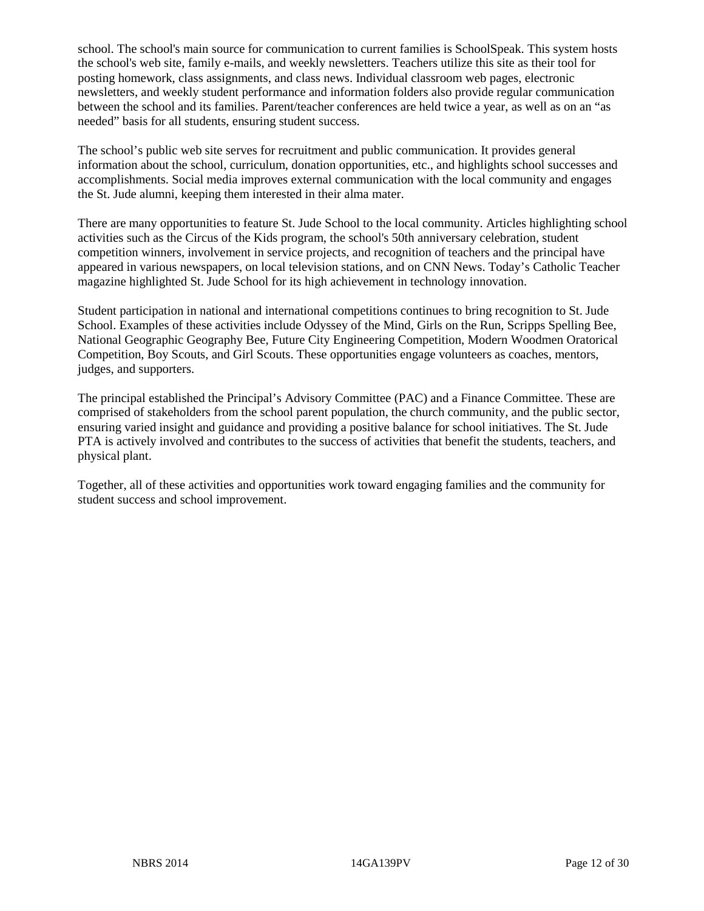school. The school's main source for communication to current families is SchoolSpeak. This system hosts the school's web site, family e-mails, and weekly newsletters. Teachers utilize this site as their tool for posting homework, class assignments, and class news. Individual classroom web pages, electronic newsletters, and weekly student performance and information folders also provide regular communication between the school and its families. Parent/teacher conferences are held twice a year, as well as on an "as needed" basis for all students, ensuring student success.

The school's public web site serves for recruitment and public communication. It provides general information about the school, curriculum, donation opportunities, etc., and highlights school successes and accomplishments. Social media improves external communication with the local community and engages the St. Jude alumni, keeping them interested in their alma mater.

There are many opportunities to feature St. Jude School to the local community. Articles highlighting school activities such as the Circus of the Kids program, the school's 50th anniversary celebration, student competition winners, involvement in service projects, and recognition of teachers and the principal have appeared in various newspapers, on local television stations, and on CNN News. Today's Catholic Teacher magazine highlighted St. Jude School for its high achievement in technology innovation.

Student participation in national and international competitions continues to bring recognition to St. Jude School. Examples of these activities include Odyssey of the Mind, Girls on the Run, Scripps Spelling Bee, National Geographic Geography Bee, Future City Engineering Competition, Modern Woodmen Oratorical Competition, Boy Scouts, and Girl Scouts. These opportunities engage volunteers as coaches, mentors, judges, and supporters.

The principal established the Principal's Advisory Committee (PAC) and a Finance Committee. These are comprised of stakeholders from the school parent population, the church community, and the public sector, ensuring varied insight and guidance and providing a positive balance for school initiatives. The St. Jude PTA is actively involved and contributes to the success of activities that benefit the students, teachers, and physical plant.

Together, all of these activities and opportunities work toward engaging families and the community for student success and school improvement.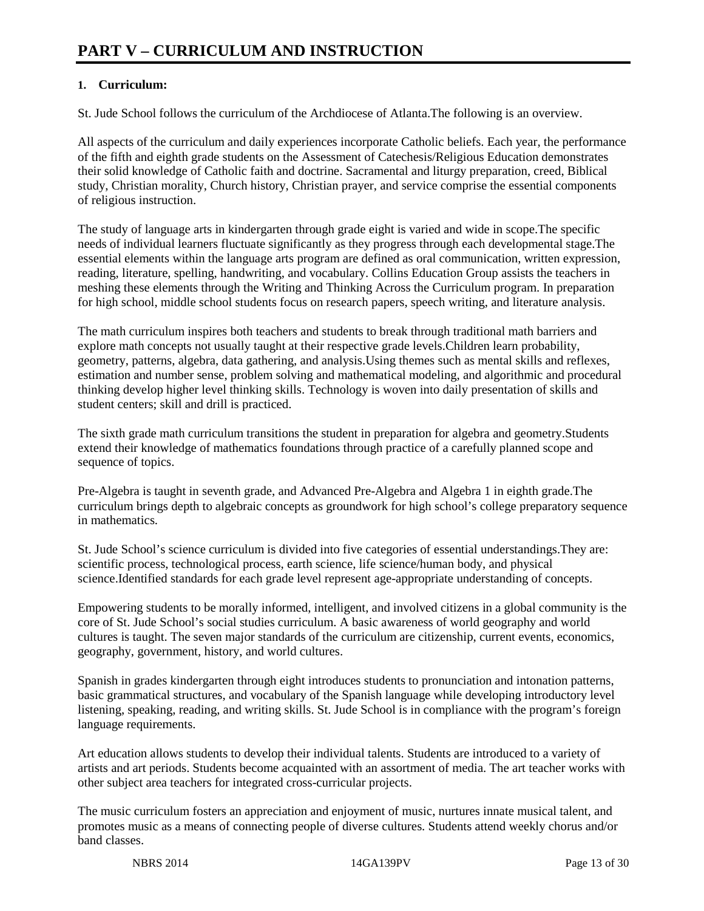#### **1. Curriculum:**

St. Jude School follows the curriculum of the Archdiocese of Atlanta.The following is an overview.

All aspects of the curriculum and daily experiences incorporate Catholic beliefs. Each year, the performance of the fifth and eighth grade students on the Assessment of Catechesis/Religious Education demonstrates their solid knowledge of Catholic faith and doctrine. Sacramental and liturgy preparation, creed, Biblical study, Christian morality, Church history, Christian prayer, and service comprise the essential components of religious instruction.

The study of language arts in kindergarten through grade eight is varied and wide in scope.The specific needs of individual learners fluctuate significantly as they progress through each developmental stage.The essential elements within the language arts program are defined as oral communication, written expression, reading, literature, spelling, handwriting, and vocabulary. Collins Education Group assists the teachers in meshing these elements through the Writing and Thinking Across the Curriculum program. In preparation for high school, middle school students focus on research papers, speech writing, and literature analysis.

The math curriculum inspires both teachers and students to break through traditional math barriers and explore math concepts not usually taught at their respective grade levels.Children learn probability, geometry, patterns, algebra, data gathering, and analysis.Using themes such as mental skills and reflexes, estimation and number sense, problem solving and mathematical modeling, and algorithmic and procedural thinking develop higher level thinking skills. Technology is woven into daily presentation of skills and student centers; skill and drill is practiced.

The sixth grade math curriculum transitions the student in preparation for algebra and geometry.Students extend their knowledge of mathematics foundations through practice of a carefully planned scope and sequence of topics.

Pre-Algebra is taught in seventh grade, and Advanced Pre-Algebra and Algebra 1 in eighth grade.The curriculum brings depth to algebraic concepts as groundwork for high school's college preparatory sequence in mathematics.

St. Jude School's science curriculum is divided into five categories of essential understandings.They are: scientific process, technological process, earth science, life science/human body, and physical science.Identified standards for each grade level represent age-appropriate understanding of concepts.

Empowering students to be morally informed, intelligent, and involved citizens in a global community is the core of St. Jude School's social studies curriculum. A basic awareness of world geography and world cultures is taught. The seven major standards of the curriculum are citizenship, current events, economics, geography, government, history, and world cultures.

Spanish in grades kindergarten through eight introduces students to pronunciation and intonation patterns, basic grammatical structures, and vocabulary of the Spanish language while developing introductory level listening, speaking, reading, and writing skills. St. Jude School is in compliance with the program's foreign language requirements.

Art education allows students to develop their individual talents. Students are introduced to a variety of artists and art periods. Students become acquainted with an assortment of media. The art teacher works with other subject area teachers for integrated cross-curricular projects.

The music curriculum fosters an appreciation and enjoyment of music, nurtures innate musical talent, and promotes music as a means of connecting people of diverse cultures. Students attend weekly chorus and/or band classes.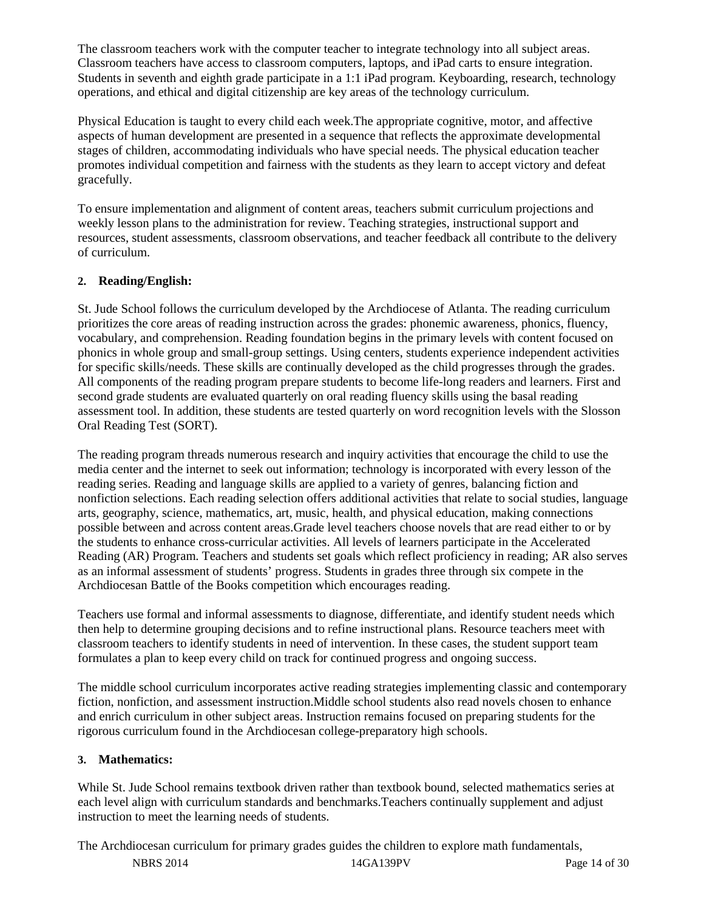The classroom teachers work with the computer teacher to integrate technology into all subject areas. Classroom teachers have access to classroom computers, laptops, and iPad carts to ensure integration. Students in seventh and eighth grade participate in a 1:1 iPad program. Keyboarding, research, technology operations, and ethical and digital citizenship are key areas of the technology curriculum.

Physical Education is taught to every child each week.The appropriate cognitive, motor, and affective aspects of human development are presented in a sequence that reflects the approximate developmental stages of children, accommodating individuals who have special needs. The physical education teacher promotes individual competition and fairness with the students as they learn to accept victory and defeat gracefully.

To ensure implementation and alignment of content areas, teachers submit curriculum projections and weekly lesson plans to the administration for review. Teaching strategies, instructional support and resources, student assessments, classroom observations, and teacher feedback all contribute to the delivery of curriculum.

#### **2. Reading/English:**

St. Jude School follows the curriculum developed by the Archdiocese of Atlanta. The reading curriculum prioritizes the core areas of reading instruction across the grades: phonemic awareness, phonics, fluency, vocabulary, and comprehension. Reading foundation begins in the primary levels with content focused on phonics in whole group and small-group settings. Using centers, students experience independent activities for specific skills/needs. These skills are continually developed as the child progresses through the grades. All components of the reading program prepare students to become life-long readers and learners. First and second grade students are evaluated quarterly on oral reading fluency skills using the basal reading assessment tool. In addition, these students are tested quarterly on word recognition levels with the Slosson Oral Reading Test (SORT).

The reading program threads numerous research and inquiry activities that encourage the child to use the media center and the internet to seek out information; technology is incorporated with every lesson of the reading series. Reading and language skills are applied to a variety of genres, balancing fiction and nonfiction selections. Each reading selection offers additional activities that relate to social studies, language arts, geography, science, mathematics, art, music, health, and physical education, making connections possible between and across content areas.Grade level teachers choose novels that are read either to or by the students to enhance cross-curricular activities. All levels of learners participate in the Accelerated Reading (AR) Program. Teachers and students set goals which reflect proficiency in reading; AR also serves as an informal assessment of students' progress. Students in grades three through six compete in the Archdiocesan Battle of the Books competition which encourages reading.

Teachers use formal and informal assessments to diagnose, differentiate, and identify student needs which then help to determine grouping decisions and to refine instructional plans. Resource teachers meet with classroom teachers to identify students in need of intervention. In these cases, the student support team formulates a plan to keep every child on track for continued progress and ongoing success.

The middle school curriculum incorporates active reading strategies implementing classic and contemporary fiction, nonfiction, and assessment instruction.Middle school students also read novels chosen to enhance and enrich curriculum in other subject areas. Instruction remains focused on preparing students for the rigorous curriculum found in the Archdiocesan college-preparatory high schools.

#### **3. Mathematics:**

While St. Jude School remains textbook driven rather than textbook bound, selected mathematics series at each level align with curriculum standards and benchmarks.Teachers continually supplement and adjust instruction to meet the learning needs of students.

The Archdiocesan curriculum for primary grades guides the children to explore math fundamentals,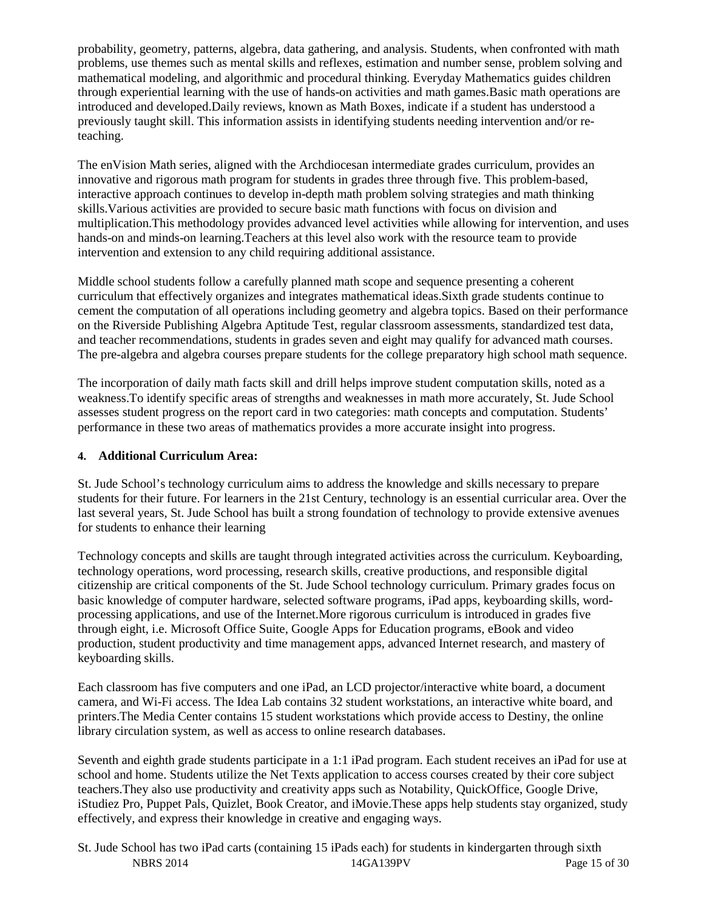probability, geometry, patterns, algebra, data gathering, and analysis. Students, when confronted with math problems, use themes such as mental skills and reflexes, estimation and number sense, problem solving and mathematical modeling, and algorithmic and procedural thinking. Everyday Mathematics guides children through experiential learning with the use of hands-on activities and math games.Basic math operations are introduced and developed.Daily reviews, known as Math Boxes, indicate if a student has understood a previously taught skill. This information assists in identifying students needing intervention and/or reteaching.

The enVision Math series, aligned with the Archdiocesan intermediate grades curriculum, provides an innovative and rigorous math program for students in grades three through five. This problem-based, interactive approach continues to develop in-depth math problem solving strategies and math thinking skills.Various activities are provided to secure basic math functions with focus on division and multiplication.This methodology provides advanced level activities while allowing for intervention, and uses hands-on and minds-on learning.Teachers at this level also work with the resource team to provide intervention and extension to any child requiring additional assistance.

Middle school students follow a carefully planned math scope and sequence presenting a coherent curriculum that effectively organizes and integrates mathematical ideas.Sixth grade students continue to cement the computation of all operations including geometry and algebra topics. Based on their performance on the Riverside Publishing Algebra Aptitude Test, regular classroom assessments, standardized test data, and teacher recommendations, students in grades seven and eight may qualify for advanced math courses. The pre-algebra and algebra courses prepare students for the college preparatory high school math sequence.

The incorporation of daily math facts skill and drill helps improve student computation skills, noted as a weakness.To identify specific areas of strengths and weaknesses in math more accurately, St. Jude School assesses student progress on the report card in two categories: math concepts and computation. Students' performance in these two areas of mathematics provides a more accurate insight into progress.

#### **4. Additional Curriculum Area:**

St. Jude School's technology curriculum aims to address the knowledge and skills necessary to prepare students for their future. For learners in the 21st Century, technology is an essential curricular area. Over the last several years, St. Jude School has built a strong foundation of technology to provide extensive avenues for students to enhance their learning

Technology concepts and skills are taught through integrated activities across the curriculum. Keyboarding, technology operations, word processing, research skills, creative productions, and responsible digital citizenship are critical components of the St. Jude School technology curriculum. Primary grades focus on basic knowledge of computer hardware, selected software programs, iPad apps, keyboarding skills, wordprocessing applications, and use of the Internet.More rigorous curriculum is introduced in grades five through eight, i.e. Microsoft Office Suite, Google Apps for Education programs, eBook and video production, student productivity and time management apps, advanced Internet research, and mastery of keyboarding skills.

Each classroom has five computers and one iPad, an LCD projector/interactive white board, a document camera, and Wi-Fi access. The Idea Lab contains 32 student workstations, an interactive white board, and printers.The Media Center contains 15 student workstations which provide access to Destiny, the online library circulation system, as well as access to online research databases.

Seventh and eighth grade students participate in a 1:1 iPad program. Each student receives an iPad for use at school and home. Students utilize the Net Texts application to access courses created by their core subject teachers.They also use productivity and creativity apps such as Notability, QuickOffice, Google Drive, iStudiez Pro, Puppet Pals, Quizlet, Book Creator, and iMovie.These apps help students stay organized, study effectively, and express their knowledge in creative and engaging ways.

NBRS 2014 2014 14GA139PV Page 15 of 30 St. Jude School has two iPad carts (containing 15 iPads each) for students in kindergarten through sixth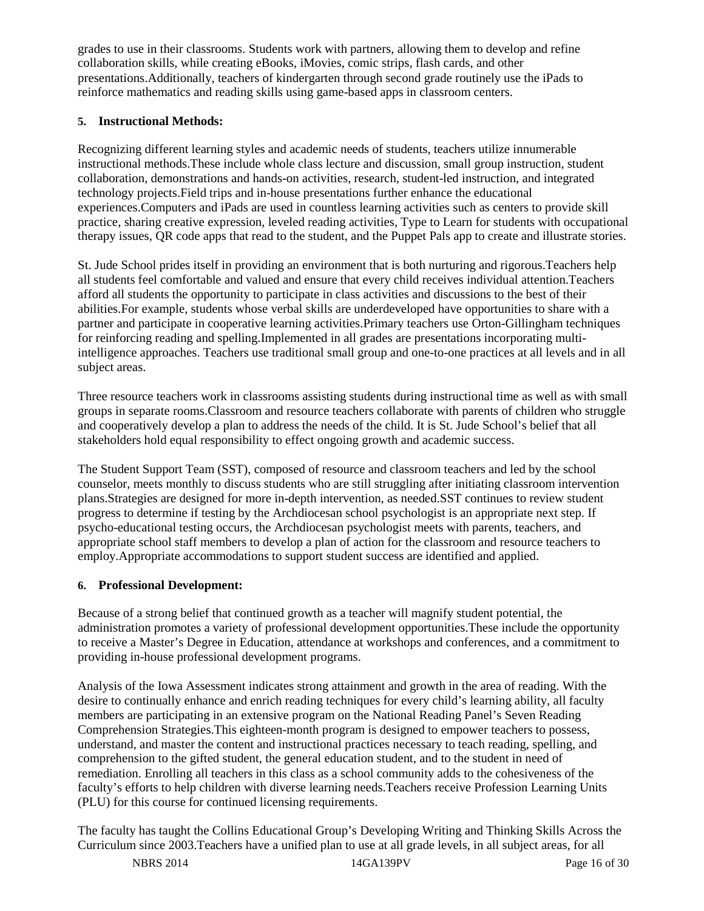grades to use in their classrooms. Students work with partners, allowing them to develop and refine collaboration skills, while creating eBooks, iMovies, comic strips, flash cards, and other presentations.Additionally, teachers of kindergarten through second grade routinely use the iPads to reinforce mathematics and reading skills using game-based apps in classroom centers.

#### **5. Instructional Methods:**

Recognizing different learning styles and academic needs of students, teachers utilize innumerable instructional methods.These include whole class lecture and discussion, small group instruction, student collaboration, demonstrations and hands-on activities, research, student-led instruction, and integrated technology projects.Field trips and in-house presentations further enhance the educational experiences.Computers and iPads are used in countless learning activities such as centers to provide skill practice, sharing creative expression, leveled reading activities, Type to Learn for students with occupational therapy issues, QR code apps that read to the student, and the Puppet Pals app to create and illustrate stories.

St. Jude School prides itself in providing an environment that is both nurturing and rigorous.Teachers help all students feel comfortable and valued and ensure that every child receives individual attention.Teachers afford all students the opportunity to participate in class activities and discussions to the best of their abilities.For example, students whose verbal skills are underdeveloped have opportunities to share with a partner and participate in cooperative learning activities.Primary teachers use Orton-Gillingham techniques for reinforcing reading and spelling.Implemented in all grades are presentations incorporating multiintelligence approaches. Teachers use traditional small group and one-to-one practices at all levels and in all subject areas.

Three resource teachers work in classrooms assisting students during instructional time as well as with small groups in separate rooms.Classroom and resource teachers collaborate with parents of children who struggle and cooperatively develop a plan to address the needs of the child. It is St. Jude School's belief that all stakeholders hold equal responsibility to effect ongoing growth and academic success.

The Student Support Team (SST), composed of resource and classroom teachers and led by the school counselor, meets monthly to discuss students who are still struggling after initiating classroom intervention plans.Strategies are designed for more in-depth intervention, as needed.SST continues to review student progress to determine if testing by the Archdiocesan school psychologist is an appropriate next step. If psycho-educational testing occurs, the Archdiocesan psychologist meets with parents, teachers, and appropriate school staff members to develop a plan of action for the classroom and resource teachers to employ.Appropriate accommodations to support student success are identified and applied.

#### **6. Professional Development:**

Because of a strong belief that continued growth as a teacher will magnify student potential, the administration promotes a variety of professional development opportunities.These include the opportunity to receive a Master's Degree in Education, attendance at workshops and conferences, and a commitment to providing in-house professional development programs.

Analysis of the Iowa Assessment indicates strong attainment and growth in the area of reading. With the desire to continually enhance and enrich reading techniques for every child's learning ability, all faculty members are participating in an extensive program on the National Reading Panel's Seven Reading Comprehension Strategies.This eighteen-month program is designed to empower teachers to possess, understand, and master the content and instructional practices necessary to teach reading, spelling, and comprehension to the gifted student, the general education student, and to the student in need of remediation. Enrolling all teachers in this class as a school community adds to the cohesiveness of the faculty's efforts to help children with diverse learning needs.Teachers receive Profession Learning Units (PLU) for this course for continued licensing requirements.

The faculty has taught the Collins Educational Group's Developing Writing and Thinking Skills Across the Curriculum since 2003.Teachers have a unified plan to use at all grade levels, in all subject areas, for all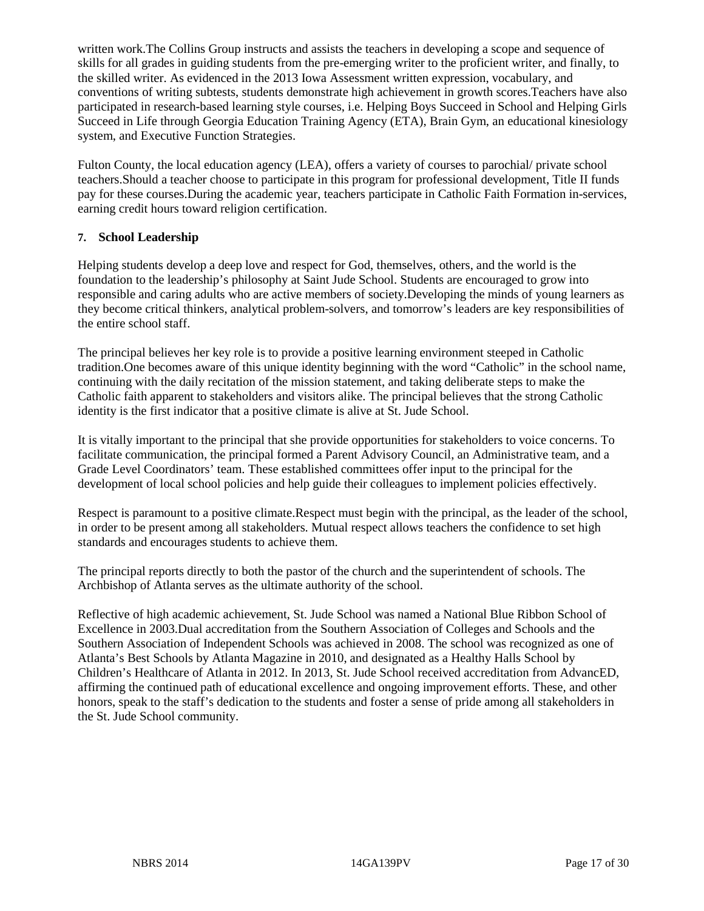written work.The Collins Group instructs and assists the teachers in developing a scope and sequence of skills for all grades in guiding students from the pre-emerging writer to the proficient writer, and finally, to the skilled writer. As evidenced in the 2013 Iowa Assessment written expression, vocabulary, and conventions of writing subtests, students demonstrate high achievement in growth scores.Teachers have also participated in research-based learning style courses, i.e. Helping Boys Succeed in School and Helping Girls Succeed in Life through Georgia Education Training Agency (ETA), Brain Gym, an educational kinesiology system, and Executive Function Strategies.

Fulton County, the local education agency (LEA), offers a variety of courses to parochial/ private school teachers.Should a teacher choose to participate in this program for professional development, Title II funds pay for these courses.During the academic year, teachers participate in Catholic Faith Formation in-services, earning credit hours toward religion certification.

#### **7. School Leadership**

Helping students develop a deep love and respect for God, themselves, others, and the world is the foundation to the leadership's philosophy at Saint Jude School. Students are encouraged to grow into responsible and caring adults who are active members of society.Developing the minds of young learners as they become critical thinkers, analytical problem-solvers, and tomorrow's leaders are key responsibilities of the entire school staff.

The principal believes her key role is to provide a positive learning environment steeped in Catholic tradition.One becomes aware of this unique identity beginning with the word "Catholic" in the school name, continuing with the daily recitation of the mission statement, and taking deliberate steps to make the Catholic faith apparent to stakeholders and visitors alike. The principal believes that the strong Catholic identity is the first indicator that a positive climate is alive at St. Jude School.

It is vitally important to the principal that she provide opportunities for stakeholders to voice concerns. To facilitate communication, the principal formed a Parent Advisory Council, an Administrative team, and a Grade Level Coordinators' team. These established committees offer input to the principal for the development of local school policies and help guide their colleagues to implement policies effectively.

Respect is paramount to a positive climate.Respect must begin with the principal, as the leader of the school, in order to be present among all stakeholders. Mutual respect allows teachers the confidence to set high standards and encourages students to achieve them.

The principal reports directly to both the pastor of the church and the superintendent of schools. The Archbishop of Atlanta serves as the ultimate authority of the school.

Reflective of high academic achievement, St. Jude School was named a National Blue Ribbon School of Excellence in 2003.Dual accreditation from the Southern Association of Colleges and Schools and the Southern Association of Independent Schools was achieved in 2008. The school was recognized as one of Atlanta's Best Schools by Atlanta Magazine in 2010, and designated as a Healthy Halls School by Children's Healthcare of Atlanta in 2012. In 2013, St. Jude School received accreditation from AdvancED, affirming the continued path of educational excellence and ongoing improvement efforts. These, and other honors, speak to the staff's dedication to the students and foster a sense of pride among all stakeholders in the St. Jude School community.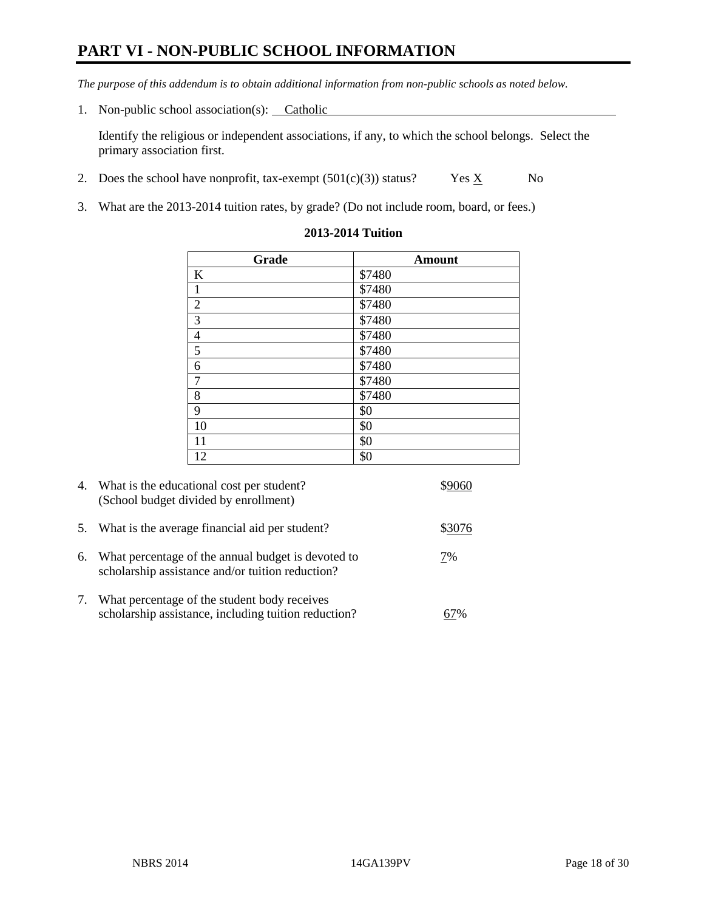### **PART VI - NON-PUBLIC SCHOOL INFORMATION**

*The purpose of this addendum is to obtain additional information from non-public schools as noted below.* 

1. Non-public school association(s): Catholic

Identify the religious or independent associations, if any, to which the school belongs. Select the primary association first.

- 2. Does the school have nonprofit, tax-exempt  $(501(c)(3))$  status? Yes  $\underline{X}$  No
- 3. What are the 2013-2014 tuition rates, by grade? (Do not include room, board, or fees.)

| Grade          | <b>Amount</b> |
|----------------|---------------|
| K              | \$7480        |
| $\mathbf{1}$   | \$7480        |
| $\overline{2}$ | \$7480        |
| $\overline{3}$ | \$7480        |
| $\overline{4}$ | \$7480        |
| $\overline{5}$ | \$7480        |
| 6              | \$7480        |
| $\overline{7}$ | \$7480        |
| $\,8\,$        | \$7480        |
| $\overline{9}$ | \$0           |
| 10             | \$0           |
| 11             | \$0           |
| 12             | \$0           |

#### **2013-2014 Tuition**

| 4.         | What is the educational cost per student?<br>(School budget divided by enrollment)                     |        |
|------------|--------------------------------------------------------------------------------------------------------|--------|
| 5.         | What is the average financial aid per student?                                                         | \$3076 |
| 6.         | What percentage of the annual budget is devoted to<br>scholarship assistance and/or tuition reduction? | 7%     |
| $\gamma$ . | What percentage of the student body receives<br>scholarship assistance, including tuition reduction?   | 7%     |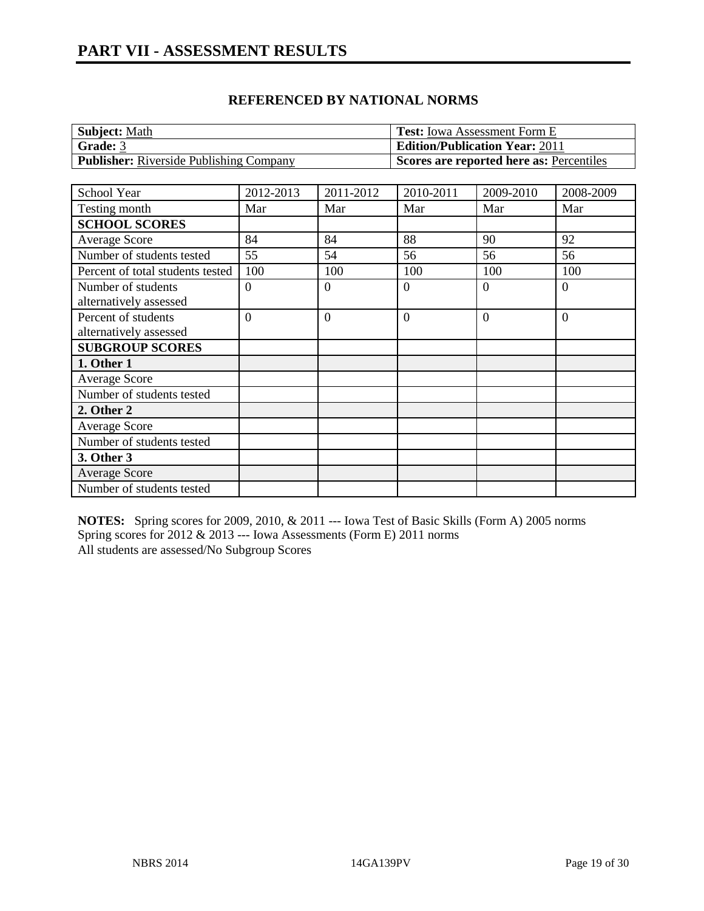| <b>Subject: Math</b>                           | <b>Test:</b> Iowa Assessment Form E      |
|------------------------------------------------|------------------------------------------|
| <b>Grade: 3</b>                                | <b>Edition/Publication Year: 2011</b>    |
| <b>Publisher:</b> Riverside Publishing Company | Scores are reported here as: Percentiles |

| School Year                                   | 2012-2013      | 2011-2012      | 2010-2011        | 2009-2010      | 2008-2009        |
|-----------------------------------------------|----------------|----------------|------------------|----------------|------------------|
| Testing month                                 | Mar            | Mar            | Mar              | Mar            | Mar              |
| <b>SCHOOL SCORES</b>                          |                |                |                  |                |                  |
| <b>Average Score</b>                          | 84             | 84             | 88               | 90             | 92               |
| Number of students tested                     | 55             | 54             | 56               | 56             | 56               |
| Percent of total students tested              | 100            | 100            | 100              | 100            | 100              |
| Number of students<br>alternatively assessed  | $\theta$       | $\Omega$       | $\boldsymbol{0}$ | $\overline{0}$ | $\boldsymbol{0}$ |
| Percent of students<br>alternatively assessed | $\overline{0}$ | $\overline{0}$ | $\overline{0}$   | $\overline{0}$ | $\theta$         |
| <b>SUBGROUP SCORES</b>                        |                |                |                  |                |                  |
| 1. Other 1                                    |                |                |                  |                |                  |
| <b>Average Score</b>                          |                |                |                  |                |                  |
| Number of students tested                     |                |                |                  |                |                  |
| 2. Other 2                                    |                |                |                  |                |                  |
| Average Score                                 |                |                |                  |                |                  |
| Number of students tested                     |                |                |                  |                |                  |
| 3. Other 3                                    |                |                |                  |                |                  |
| <b>Average Score</b>                          |                |                |                  |                |                  |
| Number of students tested                     |                |                |                  |                |                  |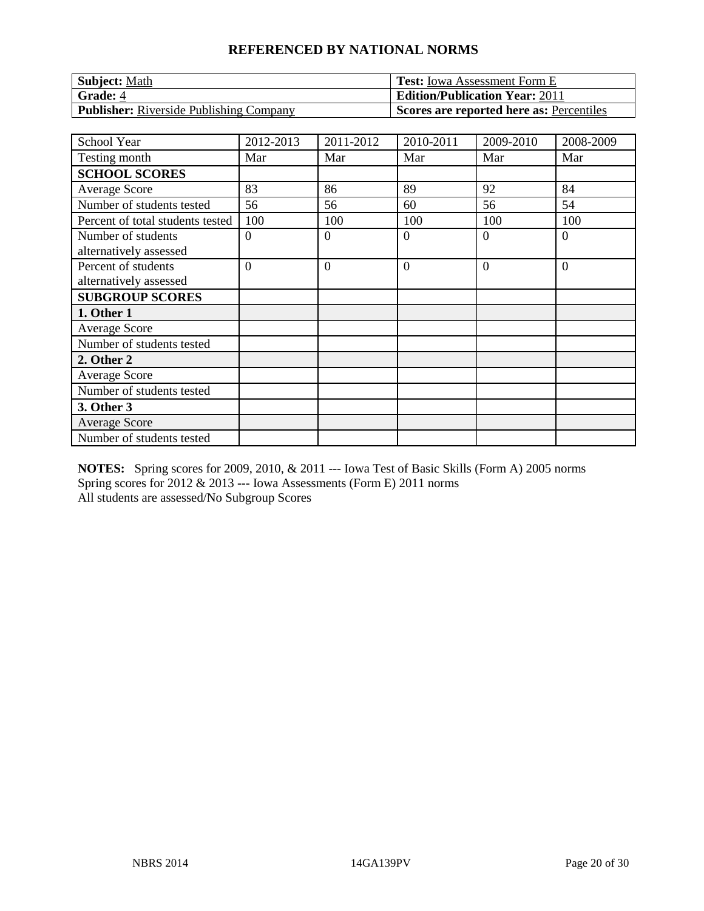| <b>Subject: Math</b>                           | <b>Test:</b> Iowa Assessment Form E             |
|------------------------------------------------|-------------------------------------------------|
| <b>Grade: 4</b>                                | <b>Edition/Publication Year: 2011</b>           |
| <b>Publisher:</b> Riverside Publishing Company | <b>Scores are reported here as: Percentiles</b> |

| <b>School Year</b>               | 2012-2013      | 2011-2012        | 2010-2011      | 2009-2010 | 2008-2009      |
|----------------------------------|----------------|------------------|----------------|-----------|----------------|
| Testing month                    | Mar            | Mar              | Mar            | Mar       | Mar            |
| <b>SCHOOL SCORES</b>             |                |                  |                |           |                |
| <b>Average Score</b>             | 83             | 86               | 89             | 92        | 84             |
| Number of students tested        | 56             | 56               | 60             | 56        | 54             |
| Percent of total students tested | 100            | 100              | 100            | 100       | 100            |
| Number of students               | $\overline{0}$ | $\boldsymbol{0}$ | $\overline{0}$ | $\Omega$  | $\overline{0}$ |
| alternatively assessed           |                |                  |                |           |                |
| Percent of students              | $\Omega$       | $\overline{0}$   | $\overline{0}$ | $\Omega$  | $\overline{0}$ |
| alternatively assessed           |                |                  |                |           |                |
| <b>SUBGROUP SCORES</b>           |                |                  |                |           |                |
| 1. Other 1                       |                |                  |                |           |                |
| <b>Average Score</b>             |                |                  |                |           |                |
| Number of students tested        |                |                  |                |           |                |
| 2. Other 2                       |                |                  |                |           |                |
| <b>Average Score</b>             |                |                  |                |           |                |
| Number of students tested        |                |                  |                |           |                |
| 3. Other 3                       |                |                  |                |           |                |
| <b>Average Score</b>             |                |                  |                |           |                |
| Number of students tested        |                |                  |                |           |                |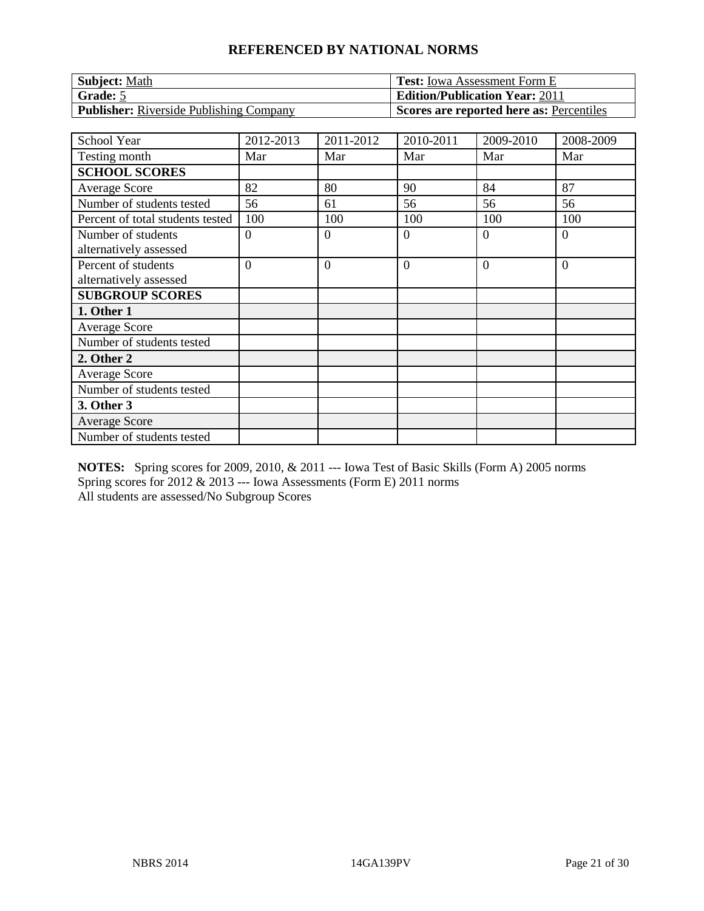| Subject: Math                                  | Test: Iowa Assessment Form E             |
|------------------------------------------------|------------------------------------------|
| Grade: 5                                       | <b>Edition/Publication Year: 2011</b>    |
| <b>Publisher:</b> Riverside Publishing Company | Scores are reported here as: Percentiles |

| <b>School Year</b>                            | 2012-2013      | 2011-2012      | 2010-2011      | 2009-2010 | 2008-2009      |
|-----------------------------------------------|----------------|----------------|----------------|-----------|----------------|
| Testing month                                 | Mar            | Mar            | Mar            | Mar       | Mar            |
| <b>SCHOOL SCORES</b>                          |                |                |                |           |                |
| Average Score                                 | 82             | 80             | 90             | 84        | 87             |
| Number of students tested                     | 56             | 61             | 56             | 56        | 56             |
| Percent of total students tested              | 100            | 100            | 100            | 100       | 100            |
| Number of students<br>alternatively assessed  | $\overline{0}$ | $\overline{0}$ | $\overline{0}$ | $\Omega$  | $\overline{0}$ |
| Percent of students<br>alternatively assessed | $\overline{0}$ | $\overline{0}$ | $\overline{0}$ | $\Omega$  | $\overline{0}$ |
| <b>SUBGROUP SCORES</b>                        |                |                |                |           |                |
| 1. Other 1                                    |                |                |                |           |                |
| Average Score                                 |                |                |                |           |                |
| Number of students tested                     |                |                |                |           |                |
| 2. Other 2                                    |                |                |                |           |                |
| <b>Average Score</b>                          |                |                |                |           |                |
| Number of students tested                     |                |                |                |           |                |
| 3. Other 3                                    |                |                |                |           |                |
| <b>Average Score</b>                          |                |                |                |           |                |
| Number of students tested                     |                |                |                |           |                |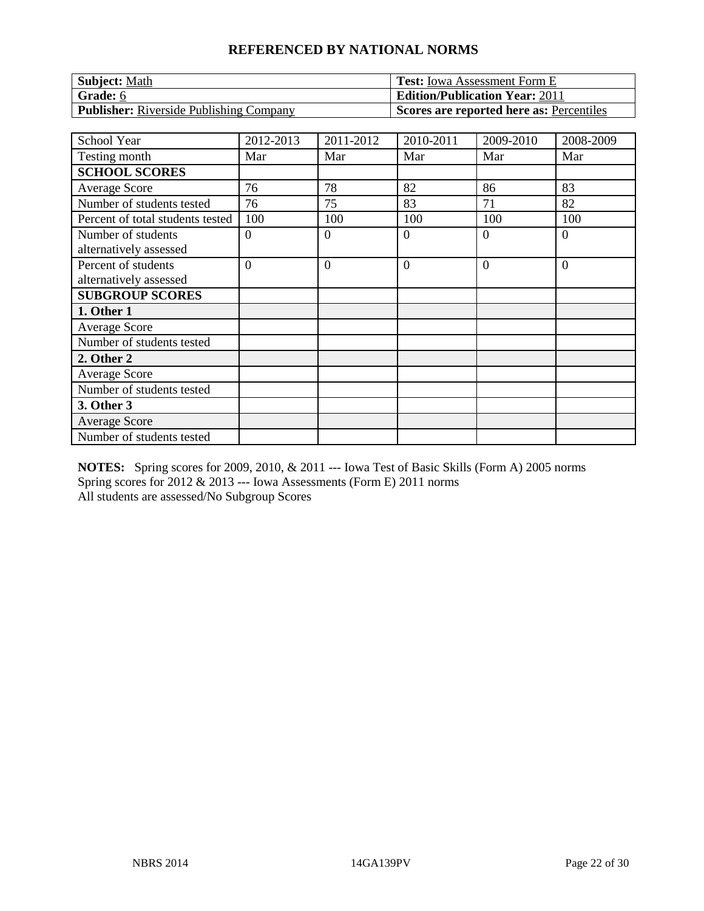| <b>Subject:</b> Math                           | <b>Test:</b> Iowa Assessment Form E      |
|------------------------------------------------|------------------------------------------|
| Grade: 6                                       | <b>Edition/Publication Year: 2011</b>    |
| <b>Publisher:</b> Riverside Publishing Company | Scores are reported here as: Percentiles |

| <b>School Year</b>                            | 2012-2013      | 2011-2012      | 2010-2011      | 2009-2010 | 2008-2009      |
|-----------------------------------------------|----------------|----------------|----------------|-----------|----------------|
| Testing month                                 | Mar            | Mar            | Mar            | Mar       | Mar            |
| <b>SCHOOL SCORES</b>                          |                |                |                |           |                |
| Average Score                                 | 76             | 78             | 82             | 86        | 83             |
| Number of students tested                     | 76             | 75             | 83             | 71        | 82             |
| Percent of total students tested              | 100            | 100            | 100            | 100       | 100            |
| Number of students<br>alternatively assessed  | $\theta$       | $\overline{0}$ | $\overline{0}$ | $\Omega$  | $\overline{0}$ |
| Percent of students<br>alternatively assessed | $\overline{0}$ | $\overline{0}$ | $\overline{0}$ | $\Omega$  | $\overline{0}$ |
| <b>SUBGROUP SCORES</b>                        |                |                |                |           |                |
| 1. Other 1                                    |                |                |                |           |                |
| Average Score                                 |                |                |                |           |                |
| Number of students tested                     |                |                |                |           |                |
| 2. Other 2                                    |                |                |                |           |                |
| <b>Average Score</b>                          |                |                |                |           |                |
| Number of students tested                     |                |                |                |           |                |
| 3. Other 3                                    |                |                |                |           |                |
| <b>Average Score</b>                          |                |                |                |           |                |
| Number of students tested                     |                |                |                |           |                |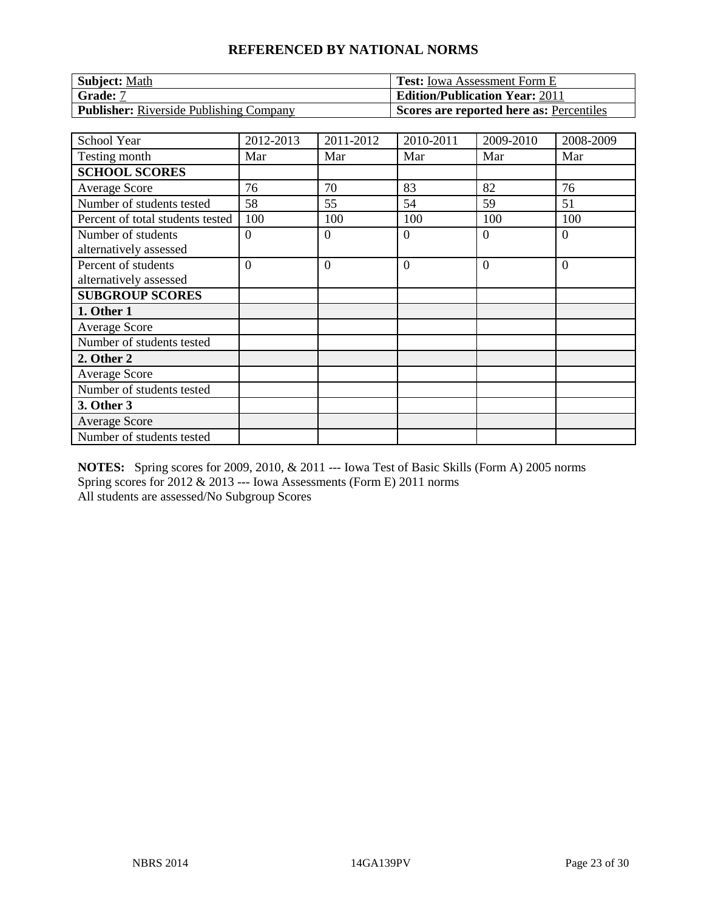| <b>Subject:</b> Math                           | <b>Test:</b> Iowa Assessment Form E      |
|------------------------------------------------|------------------------------------------|
| Grade: 7                                       | <b>Edition/Publication Year: 2011</b>    |
| <b>Publisher:</b> Riverside Publishing Company | Scores are reported here as: Percentiles |

| <b>School Year</b>                            | 2012-2013      | 2011-2012      | 2010-2011      | 2009-2010 | 2008-2009      |
|-----------------------------------------------|----------------|----------------|----------------|-----------|----------------|
| Testing month                                 | Mar            | Mar            | Mar            | Mar       | Mar            |
| <b>SCHOOL SCORES</b>                          |                |                |                |           |                |
| Average Score                                 | 76             | 70             | 83             | 82        | 76             |
| Number of students tested                     | 58             | 55             | 54             | 59        | 51             |
| Percent of total students tested              | 100            | 100            | 100            | 100       | 100            |
| Number of students<br>alternatively assessed  | $\overline{0}$ | $\overline{0}$ | $\overline{0}$ | $\Omega$  | $\overline{0}$ |
| Percent of students<br>alternatively assessed | $\overline{0}$ | $\overline{0}$ | $\overline{0}$ | $\Omega$  | $\overline{0}$ |
| <b>SUBGROUP SCORES</b>                        |                |                |                |           |                |
| 1. Other 1                                    |                |                |                |           |                |
| Average Score                                 |                |                |                |           |                |
| Number of students tested                     |                |                |                |           |                |
| 2. Other 2                                    |                |                |                |           |                |
| <b>Average Score</b>                          |                |                |                |           |                |
| Number of students tested                     |                |                |                |           |                |
| 3. Other 3                                    |                |                |                |           |                |
| <b>Average Score</b>                          |                |                |                |           |                |
| Number of students tested                     |                |                |                |           |                |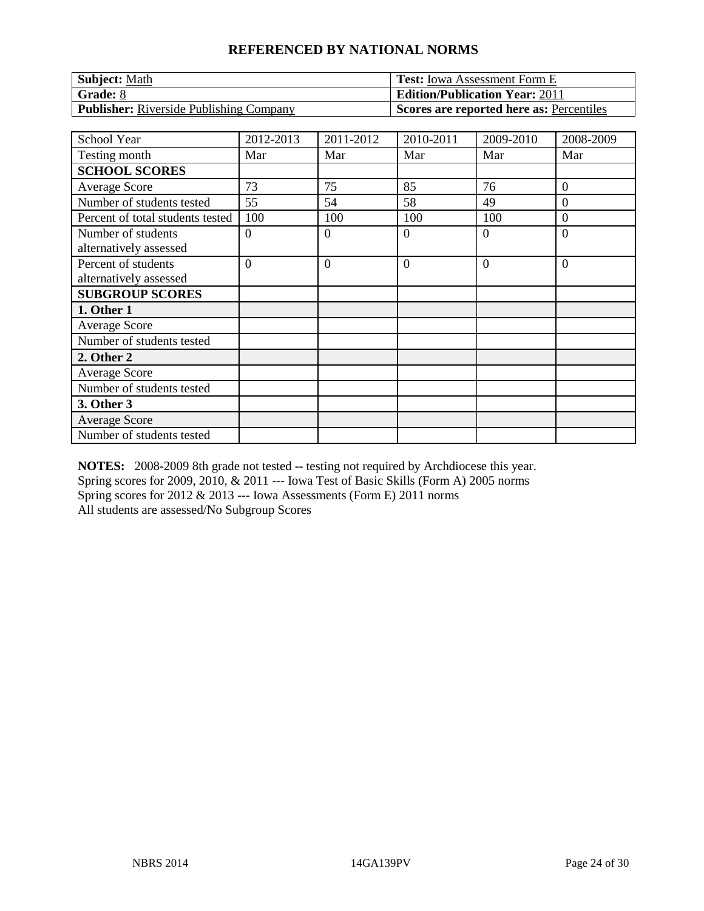| <b>Subject: Math</b>                    | <b>Test:</b> Iowa Assessment Form E      |
|-----------------------------------------|------------------------------------------|
| Grade: 8                                | <b>Edition/Publication Year: 2011</b>    |
| Publisher: Riverside Publishing Company | Scores are reported here as: Percentiles |

| <b>School Year</b>               | 2012-2013      | 2011-2012      | 2010-2011      | 2009-2010 | 2008-2009      |
|----------------------------------|----------------|----------------|----------------|-----------|----------------|
| Testing month                    | Mar            | Mar            | Mar            | Mar       | Mar            |
| <b>SCHOOL SCORES</b>             |                |                |                |           |                |
| Average Score                    | 73             | 75             | 85             | 76        | $\mathbf{0}$   |
| Number of students tested        | 55             | 54             | 58             | 49        | $\overline{0}$ |
| Percent of total students tested | 100            | 100            | 100            | 100       | $\overline{0}$ |
| Number of students               | $\overline{0}$ | $\overline{0}$ | $\overline{0}$ | $\theta$  | $\overline{0}$ |
| alternatively assessed           |                |                |                |           |                |
| Percent of students              | $\overline{0}$ | $\overline{0}$ | $\overline{0}$ | $\theta$  | $\overline{0}$ |
| alternatively assessed           |                |                |                |           |                |
| <b>SUBGROUP SCORES</b>           |                |                |                |           |                |
| 1. Other 1                       |                |                |                |           |                |
| Average Score                    |                |                |                |           |                |
| Number of students tested        |                |                |                |           |                |
| 2. Other 2                       |                |                |                |           |                |
| <b>Average Score</b>             |                |                |                |           |                |
| Number of students tested        |                |                |                |           |                |
| 3. Other 3                       |                |                |                |           |                |
| <b>Average Score</b>             |                |                |                |           |                |
| Number of students tested        |                |                |                |           |                |

**NOTES:** 2008-2009 8th grade not tested -- testing not required by Archdiocese this year. Spring scores for 2009, 2010, & 2011 --- Iowa Test of Basic Skills (Form A) 2005 norms Spring scores for 2012 & 2013 --- Iowa Assessments (Form E) 2011 norms

All students are assessed/No Subgroup Scores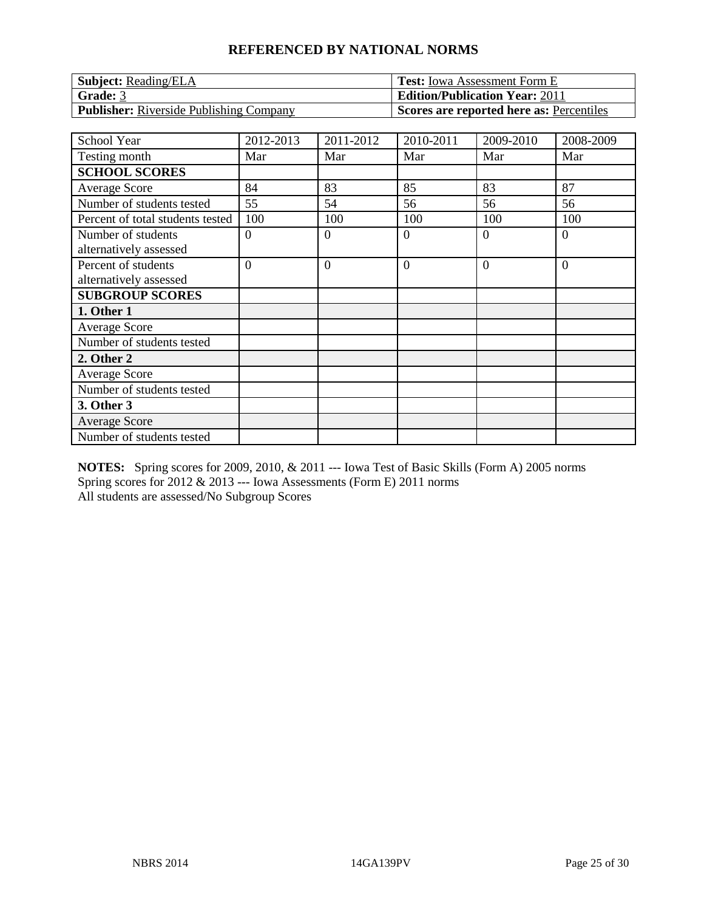| <b>Subject:</b> Reading/ELA                    | <b>Test:</b> Iowa Assessment Form E      |
|------------------------------------------------|------------------------------------------|
| Grade: 3                                       | <b>Edition/Publication Year: 2011</b>    |
| <b>Publisher:</b> Riverside Publishing Company | Scores are reported here as: Percentiles |

| <b>School Year</b>                            | 2012-2013      | 2011-2012      | 2010-2011      | 2009-2010 | 2008-2009      |
|-----------------------------------------------|----------------|----------------|----------------|-----------|----------------|
| Testing month                                 | Mar            | Mar            | Mar            | Mar       | Mar            |
| <b>SCHOOL SCORES</b>                          |                |                |                |           |                |
| <b>Average Score</b>                          | 84             | 83             | 85             | 83        | 87             |
| Number of students tested                     | 55             | 54             | 56             | 56        | 56             |
| Percent of total students tested              | 100            | 100            | 100            | 100       | 100            |
| Number of students<br>alternatively assessed  | $\overline{0}$ | $\overline{0}$ | $\overline{0}$ | 0         | $\overline{0}$ |
| Percent of students<br>alternatively assessed | $\overline{0}$ | $\overline{0}$ | $\overline{0}$ | $\Omega$  | $\overline{0}$ |
| <b>SUBGROUP SCORES</b>                        |                |                |                |           |                |
| 1. Other 1                                    |                |                |                |           |                |
| Average Score                                 |                |                |                |           |                |
| Number of students tested                     |                |                |                |           |                |
| 2. Other 2                                    |                |                |                |           |                |
| <b>Average Score</b>                          |                |                |                |           |                |
| Number of students tested                     |                |                |                |           |                |
| 3. Other 3                                    |                |                |                |           |                |
| <b>Average Score</b>                          |                |                |                |           |                |
| Number of students tested                     |                |                |                |           |                |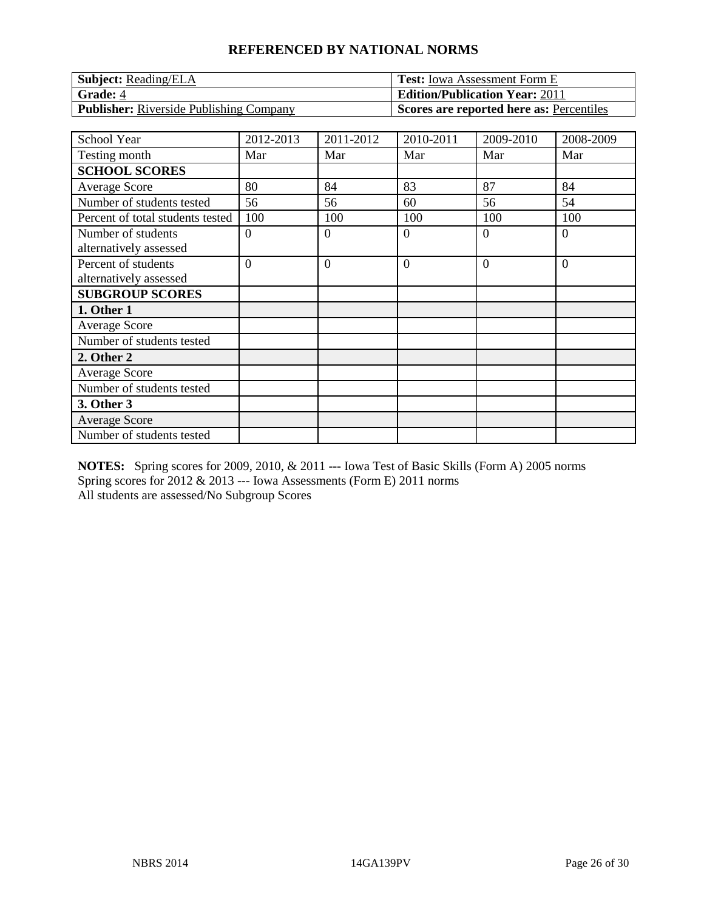| <b>Subject:</b> Reading/ELA                    | <b>Test:</b> Iowa Assessment Form E      |
|------------------------------------------------|------------------------------------------|
| Grade: 4                                       | <b>Edition/Publication Year: 2011</b>    |
| <b>Publisher:</b> Riverside Publishing Company | Scores are reported here as: Percentiles |

| <b>School Year</b>               | 2012-2013      | 2011-2012      | 2010-2011      | 2009-2010 | 2008-2009      |
|----------------------------------|----------------|----------------|----------------|-----------|----------------|
| Testing month                    | Mar            | Mar            | Mar            | Mar       | Mar            |
| <b>SCHOOL SCORES</b>             |                |                |                |           |                |
| <b>Average Score</b>             | 80             | 84             | 83             | 87        | 84             |
| Number of students tested        | 56             | 56             | 60             | 56        | 54             |
| Percent of total students tested | 100            | 100            | 100            | 100       | 100            |
| Number of students               | $\theta$       | $\overline{0}$ | $\overline{0}$ | 0         | $\overline{0}$ |
| alternatively assessed           |                |                |                |           |                |
| Percent of students              | $\overline{0}$ | $\overline{0}$ | $\overline{0}$ | $\Omega$  | $\overline{0}$ |
| alternatively assessed           |                |                |                |           |                |
| <b>SUBGROUP SCORES</b>           |                |                |                |           |                |
| 1. Other 1                       |                |                |                |           |                |
| Average Score                    |                |                |                |           |                |
| Number of students tested        |                |                |                |           |                |
| 2. Other 2                       |                |                |                |           |                |
| <b>Average Score</b>             |                |                |                |           |                |
| Number of students tested        |                |                |                |           |                |
| 3. Other 3                       |                |                |                |           |                |
| <b>Average Score</b>             |                |                |                |           |                |
| Number of students tested        |                |                |                |           |                |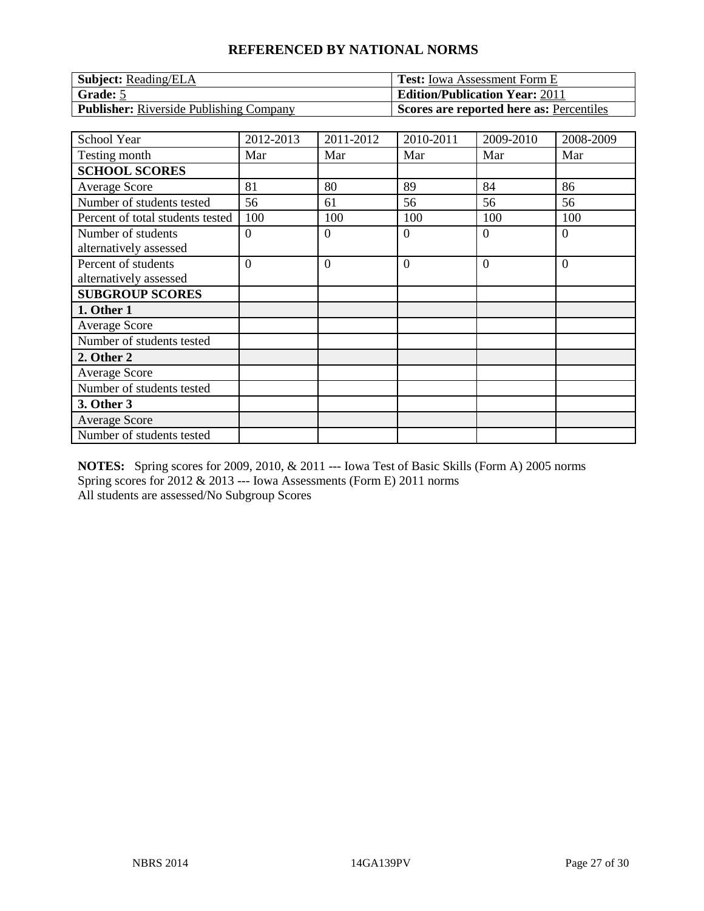| <b>Subject: Reading/ELA</b>                    | <b>Test:</b> Iowa Assessment Form E      |
|------------------------------------------------|------------------------------------------|
| <b>Grade:</b> 5                                | <b>Edition/Publication Year: 2011</b>    |
| <b>Publisher:</b> Riverside Publishing Company | Scores are reported here as: Percentiles |

| <b>School Year</b>               | 2012-2013      | 2011-2012      | 2010-2011      | 2009-2010 | 2008-2009      |
|----------------------------------|----------------|----------------|----------------|-----------|----------------|
| Testing month                    | Mar            | Mar            | Mar            | Mar       | Mar            |
| <b>SCHOOL SCORES</b>             |                |                |                |           |                |
| <b>Average Score</b>             | 81             | 80             | 89             | 84        | 86             |
| Number of students tested        | 56             | 61             | 56             | 56        | 56             |
| Percent of total students tested | 100            | 100            | 100            | 100       | 100            |
| Number of students               | $\theta$       | $\overline{0}$ | $\overline{0}$ | 0         | $\overline{0}$ |
| alternatively assessed           |                |                |                |           |                |
| Percent of students              | $\overline{0}$ | $\overline{0}$ | $\overline{0}$ | $\Omega$  | $\overline{0}$ |
| alternatively assessed           |                |                |                |           |                |
| <b>SUBGROUP SCORES</b>           |                |                |                |           |                |
| 1. Other 1                       |                |                |                |           |                |
| Average Score                    |                |                |                |           |                |
| Number of students tested        |                |                |                |           |                |
| 2. Other 2                       |                |                |                |           |                |
| <b>Average Score</b>             |                |                |                |           |                |
| Number of students tested        |                |                |                |           |                |
| 3. Other 3                       |                |                |                |           |                |
| <b>Average Score</b>             |                |                |                |           |                |
| Number of students tested        |                |                |                |           |                |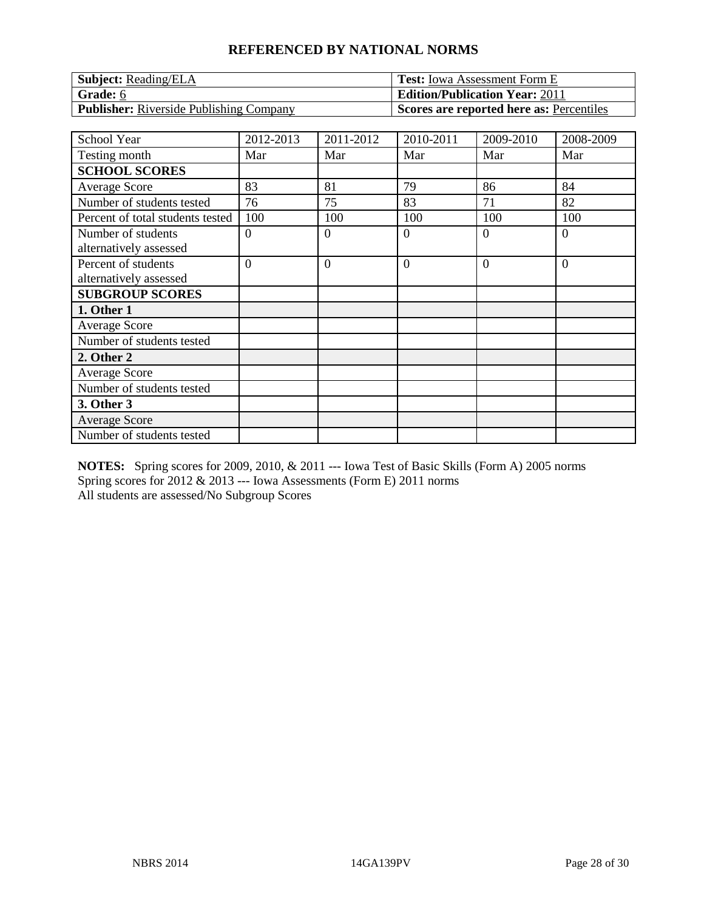| <b>Subject:</b> Reading/ELA                    | <b>Test:</b> Iowa Assessment Form E      |
|------------------------------------------------|------------------------------------------|
| Grade: 6                                       | <b>Edition/Publication Year: 2011</b>    |
| <b>Publisher:</b> Riverside Publishing Company | Scores are reported here as: Percentiles |

| School Year                      | 2012-2013      | 2011-2012      | 2010-2011      | 2009-2010 | 2008-2009      |
|----------------------------------|----------------|----------------|----------------|-----------|----------------|
| Testing month                    | Mar            | Mar            | Mar            | Mar       | Mar            |
| <b>SCHOOL SCORES</b>             |                |                |                |           |                |
| <b>Average Score</b>             | 83             | 81             | 79             | 86        | 84             |
| Number of students tested        | 76             | 75             | 83             | 71        | 82             |
| Percent of total students tested | 100            | 100            | 100            | 100       | 100            |
| Number of students               | $\theta$       | $\overline{0}$ | $\overline{0}$ | $\Omega$  | $\overline{0}$ |
| alternatively assessed           |                |                |                |           |                |
| Percent of students              | $\overline{0}$ | $\overline{0}$ | $\overline{0}$ | $\Omega$  | $\overline{0}$ |
| alternatively assessed           |                |                |                |           |                |
| <b>SUBGROUP SCORES</b>           |                |                |                |           |                |
| 1. Other 1                       |                |                |                |           |                |
| <b>Average Score</b>             |                |                |                |           |                |
| Number of students tested        |                |                |                |           |                |
| 2. Other 2                       |                |                |                |           |                |
| <b>Average Score</b>             |                |                |                |           |                |
| Number of students tested        |                |                |                |           |                |
| 3. Other 3                       |                |                |                |           |                |
| <b>Average Score</b>             |                |                |                |           |                |
| Number of students tested        |                |                |                |           |                |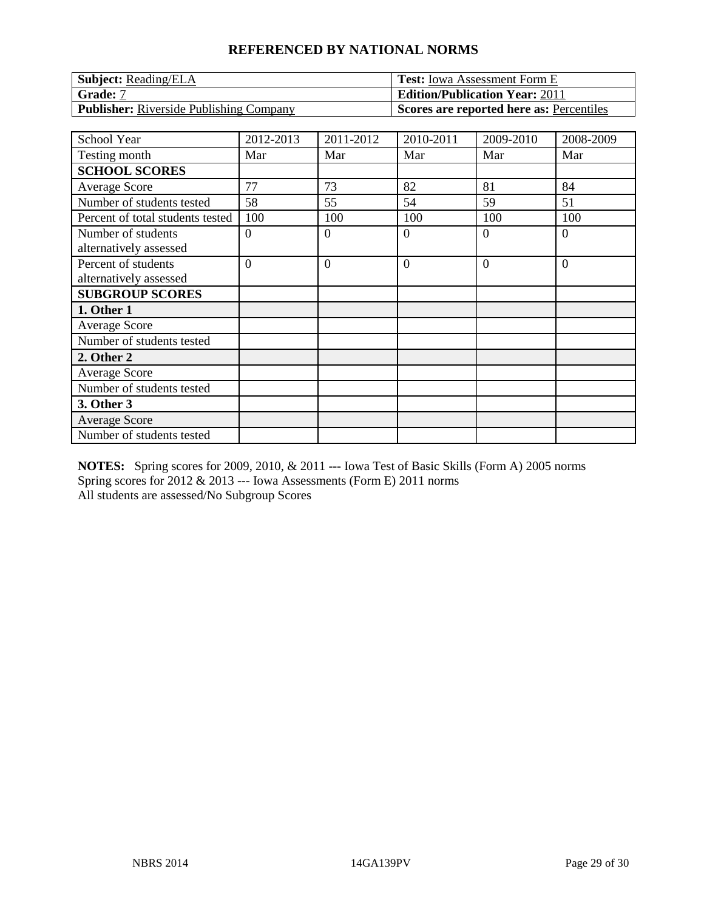| <b>Subject:</b> Reading/ELA             | <b>Test:</b> Iowa Assessment Form E      |
|-----------------------------------------|------------------------------------------|
| Grade: 7                                | <b>Edition/Publication Year: 2011</b>    |
| Publisher: Riverside Publishing Company | Scores are reported here as: Percentiles |

| School Year                      | 2012-2013      | 2011-2012      | 2010-2011      | 2009-2010 | 2008-2009      |
|----------------------------------|----------------|----------------|----------------|-----------|----------------|
| Testing month                    | Mar            | Mar            | Mar            | Mar       | Mar            |
| <b>SCHOOL SCORES</b>             |                |                |                |           |                |
| <b>Average Score</b>             | 77             | 73             | 82             | 81        | 84             |
| Number of students tested        | 58             | 55             | 54             | 59        | 51             |
| Percent of total students tested | 100            | 100            | 100            | 100       | 100            |
| Number of students               | $\theta$       | $\overline{0}$ | $\overline{0}$ | $\Omega$  | $\overline{0}$ |
| alternatively assessed           |                |                |                |           |                |
| Percent of students              | $\overline{0}$ | $\overline{0}$ | $\overline{0}$ | $\Omega$  | $\overline{0}$ |
| alternatively assessed           |                |                |                |           |                |
| <b>SUBGROUP SCORES</b>           |                |                |                |           |                |
| 1. Other 1                       |                |                |                |           |                |
| <b>Average Score</b>             |                |                |                |           |                |
| Number of students tested        |                |                |                |           |                |
| 2. Other 2                       |                |                |                |           |                |
| <b>Average Score</b>             |                |                |                |           |                |
| Number of students tested        |                |                |                |           |                |
| 3. Other 3                       |                |                |                |           |                |
| <b>Average Score</b>             |                |                |                |           |                |
| Number of students tested        |                |                |                |           |                |